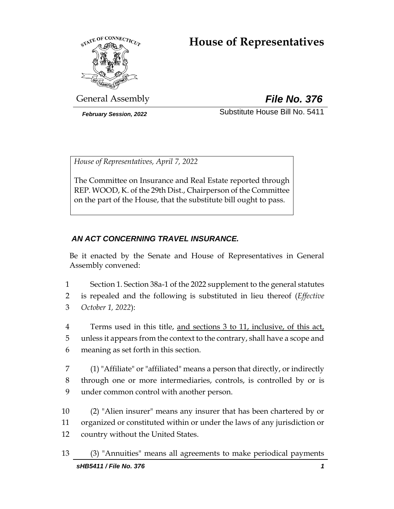# **House of Representatives**



General Assembly *File No. 376*

*February Session, 2022* Substitute House Bill No. 5411

*House of Representatives, April 7, 2022*

The Committee on Insurance and Real Estate reported through REP. WOOD, K. of the 29th Dist., Chairperson of the Committee on the part of the House, that the substitute bill ought to pass.

## *AN ACT CONCERNING TRAVEL INSURANCE.*

Be it enacted by the Senate and House of Representatives in General Assembly convened:

1 Section 1. Section 38a-1 of the 2022 supplement to the general statutes

2 is repealed and the following is substituted in lieu thereof (*Effective*  3 *October 1, 2022*):

4 Terms used in this title, and sections 3 to 11, inclusive, of this act, 5 unless it appears from the context to the contrary, shall have a scope and 6 meaning as set forth in this section.

7 (1) "Affiliate" or "affiliated" means a person that directly, or indirectly 8 through one or more intermediaries, controls, is controlled by or is 9 under common control with another person.

10 (2) "Alien insurer" means any insurer that has been chartered by or 11 organized or constituted within or under the laws of any jurisdiction or 12 country without the United States.

*sHB5411 / File No. 376 1* 13 (3) "Annuities" means all agreements to make periodical payments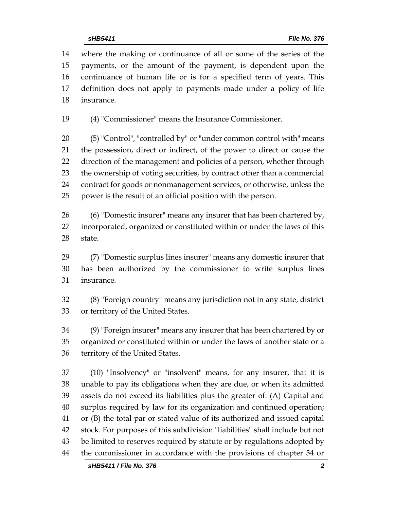where the making or continuance of all or some of the series of the payments, or the amount of the payment, is dependent upon the continuance of human life or is for a specified term of years. This definition does not apply to payments made under a policy of life insurance.

(4) "Commissioner" means the Insurance Commissioner.

 (5) "Control", "controlled by" or "under common control with" means the possession, direct or indirect, of the power to direct or cause the direction of the management and policies of a person, whether through the ownership of voting securities, by contract other than a commercial contract for goods or nonmanagement services, or otherwise, unless the power is the result of an official position with the person.

 (6) "Domestic insurer" means any insurer that has been chartered by, incorporated, organized or constituted within or under the laws of this state.

 (7) "Domestic surplus lines insurer" means any domestic insurer that has been authorized by the commissioner to write surplus lines insurance.

 (8) "Foreign country" means any jurisdiction not in any state, district or territory of the United States.

 (9) "Foreign insurer" means any insurer that has been chartered by or organized or constituted within or under the laws of another state or a territory of the United States.

 (10) "Insolvency" or "insolvent" means, for any insurer, that it is unable to pay its obligations when they are due, or when its admitted assets do not exceed its liabilities plus the greater of: (A) Capital and surplus required by law for its organization and continued operation; or (B) the total par or stated value of its authorized and issued capital stock. For purposes of this subdivision "liabilities" shall include but not be limited to reserves required by statute or by regulations adopted by the commissioner in accordance with the provisions of chapter 54 or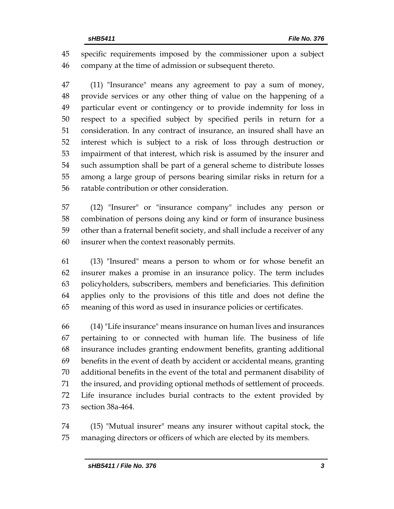specific requirements imposed by the commissioner upon a subject company at the time of admission or subsequent thereto.

 (11) "Insurance" means any agreement to pay a sum of money, provide services or any other thing of value on the happening of a particular event or contingency or to provide indemnity for loss in respect to a specified subject by specified perils in return for a consideration. In any contract of insurance, an insured shall have an interest which is subject to a risk of loss through destruction or impairment of that interest, which risk is assumed by the insurer and such assumption shall be part of a general scheme to distribute losses among a large group of persons bearing similar risks in return for a ratable contribution or other consideration.

 (12) "Insurer" or "insurance company" includes any person or combination of persons doing any kind or form of insurance business other than a fraternal benefit society, and shall include a receiver of any insurer when the context reasonably permits.

 (13) "Insured" means a person to whom or for whose benefit an insurer makes a promise in an insurance policy. The term includes policyholders, subscribers, members and beneficiaries. This definition applies only to the provisions of this title and does not define the meaning of this word as used in insurance policies or certificates.

 (14) "Life insurance" means insurance on human lives and insurances pertaining to or connected with human life. The business of life insurance includes granting endowment benefits, granting additional benefits in the event of death by accident or accidental means, granting additional benefits in the event of the total and permanent disability of the insured, and providing optional methods of settlement of proceeds. Life insurance includes burial contracts to the extent provided by section 38a-464.

 (15) "Mutual insurer" means any insurer without capital stock, the managing directors or officers of which are elected by its members.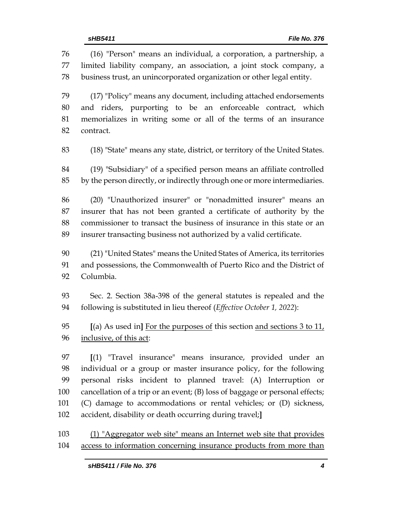(16) "Person" means an individual, a corporation, a partnership, a limited liability company, an association, a joint stock company, a business trust, an unincorporated organization or other legal entity. (17) "Policy" means any document, including attached endorsements and riders, purporting to be an enforceable contract, which memorializes in writing some or all of the terms of an insurance contract. (18) "State" means any state, district, or territory of the United States. (19) "Subsidiary" of a specified person means an affiliate controlled by the person directly, or indirectly through one or more intermediaries. (20) "Unauthorized insurer" or "nonadmitted insurer" means an insurer that has not been granted a certificate of authority by the commissioner to transact the business of insurance in this state or an insurer transacting business not authorized by a valid certificate. (21) "United States" means the United States of America, its territories and possessions, the Commonwealth of Puerto Rico and the District of Columbia. Sec. 2. Section 38a-398 of the general statutes is repealed and the following is substituted in lieu thereof (*Effective October 1, 2022*): **[**(a) As used in**]** For the purposes of this section and sections 3 to 11, inclusive, of this act: **[**(1) "Travel insurance" means insurance, provided under an individual or a group or master insurance policy, for the following personal risks incident to planned travel: (A) Interruption or cancellation of a trip or an event; (B) loss of baggage or personal effects; (C) damage to accommodations or rental vehicles; or (D) sickness, accident, disability or death occurring during travel;**]** (1) "Aggregator web site" means an Internet web site that provides

access to information concerning insurance products from more than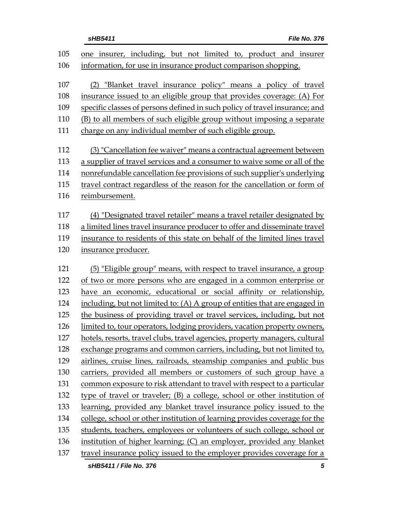| sHB5411 |  |
|---------|--|
|         |  |

| 105 | one insurer, including, but not limited to, product and insurer             |
|-----|-----------------------------------------------------------------------------|
| 106 | information, for use in insurance product comparison shopping.              |
| 107 | (2) "Blanket travel insurance policy" means a policy of travel              |
| 108 | insurance issued to an eligible group that provides coverage: (A) For       |
| 109 | specific classes of persons defined in such policy of travel insurance; and |
| 110 | (B) to all members of such eligible group without imposing a separate       |
| 111 | charge on any individual member of such eligible group.                     |
| 112 | (3) "Cancellation fee waiver" means a contractual agreement between         |
| 113 | a supplier of travel services and a consumer to waive some or all of the    |
| 114 | nonrefundable cancellation fee provisions of such supplier's underlying     |
| 115 | travel contract regardless of the reason for the cancellation or form of    |
| 116 | reimbursement.                                                              |
| 117 | (4) "Designated travel retailer" means a travel retailer designated by      |
| 118 | a limited lines travel insurance producer to offer and disseminate travel   |
| 119 | insurance to residents of this state on behalf of the limited lines travel  |
| 120 | insurance producer.                                                         |
| 121 | (5) "Eligible group" means, with respect to travel insurance, a group       |
| 122 | of two or more persons who are engaged in a common enterprise or            |
| 123 | have an economic, educational or social affinity or relationship,           |
| 124 | including, but not limited to: (A) A group of entities that are engaged in  |
| 125 | the business of providing travel or travel services, including, but not     |
| 126 | limited to, tour operators, lodging providers, vacation property owners,    |
| 127 | hotels, resorts, travel clubs, travel agencies, property managers, cultural |
| 128 | exchange programs and common carriers, including, but not limited to,       |
| 129 | airlines, cruise lines, railroads, steamship companies and public bus       |
| 130 | carriers, provided all members or customers of such group have a            |
| 131 | common exposure to risk attendant to travel with respect to a particular    |
| 132 | type of travel or traveler; (B) a college, school or other institution of   |
| 133 | learning, provided any blanket travel insurance policy issued to the        |
| 134 | college, school or other institution of learning provides coverage for the  |
| 135 | students, teachers, employees or volunteers of such college, school or      |
| 136 | institution of higher learning; (C) an employer, provided any blanket       |
| 137 | travel insurance policy issued to the employer provides coverage for a      |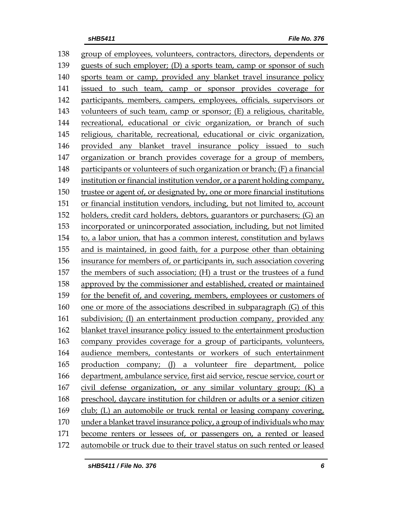group of employees, volunteers, contractors, directors, dependents or guests of such employer; (D) a sports team, camp or sponsor of such sports team or camp, provided any blanket travel insurance policy issued to such team, camp or sponsor provides coverage for participants, members, campers, employees, officials, supervisors or volunteers of such team, camp or sponsor; (E) a religious, charitable, recreational, educational or civic organization, or branch of such religious, charitable, recreational, educational or civic organization, provided any blanket travel insurance policy issued to such organization or branch provides coverage for a group of members, participants or volunteers of such organization or branch; (F) a financial institution or financial institution vendor, or a parent holding company, trustee or agent of, or designated by, one or more financial institutions or financial institution vendors, including, but not limited to, account holders, credit card holders, debtors, guarantors or purchasers; (G) an incorporated or unincorporated association, including, but not limited to, a labor union, that has a common interest, constitution and bylaws and is maintained, in good faith, for a purpose other than obtaining insurance for members of, or participants in, such association covering the members of such association; (H) a trust or the trustees of a fund approved by the commissioner and established, created or maintained for the benefit of, and covering, members, employees or customers of one or more of the associations described in subparagraph (G) of this subdivision; (I) an entertainment production company, provided any blanket travel insurance policy issued to the entertainment production company provides coverage for a group of participants, volunteers, audience members, contestants or workers of such entertainment production company; (J) a volunteer fire department, police department, ambulance service, first aid service, rescue service, court or civil defense organization, or any similar voluntary group; (K) a preschool, daycare institution for children or adults or a senior citizen club; (L) an automobile or truck rental or leasing company covering, under a blanket travel insurance policy, a group of individuals who may become renters or lessees of, or passengers on, a rented or leased automobile or truck due to their travel status on such rented or leased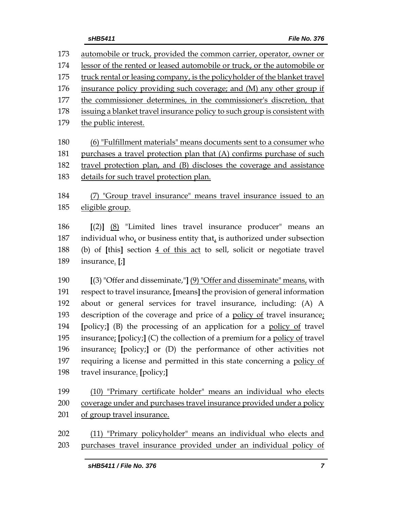automobile or truck, provided the common carrier, operator, owner or lessor of the rented or leased automobile or truck, or the automobile or truck rental or leasing company, is the policyholder of the blanket travel insurance policy providing such coverage; and (M) any other group if the commissioner determines, in the commissioner's discretion, that issuing a blanket travel insurance policy to such group is consistent with the public interest. (6) "Fulfillment materials" means documents sent to a consumer who purchases a travel protection plan that (A) confirms purchase of such travel protection plan, and (B) discloses the coverage and assistance details for such travel protection plan. (7) "Group travel insurance" means travel insurance issued to an eligible group. **[**(2)**]** (8) "Limited lines travel insurance producer" means an individual who, or business entity that, is authorized under subsection (b) of **[**this**]** section 4 of this act to sell, solicit or negotiate travel insurance. **[**;**] [**(3) "Offer and disseminate,"**]** (9) "Offer and disseminate" means, with respect to travel insurance, **[**means**]** the provision of general information about or general services for travel insurance, including: (A) A description of the coverage and price of a policy of travel insurance; **[**policy;**]** (B) the processing of an application for a policy of travel insurance; **[**policy;**]** (C) the collection of a premium for a policy of travel insurance; **[**policy;**]** or (D) the performance of other activities not requiring a license and permitted in this state concerning a policy of travel insurance. **[**policy;**]**

 (10) "Primary certificate holder" means an individual who elects coverage under and purchases travel insurance provided under a policy of group travel insurance.

 (11) "Primary policyholder" means an individual who elects and purchases travel insurance provided under an individual policy of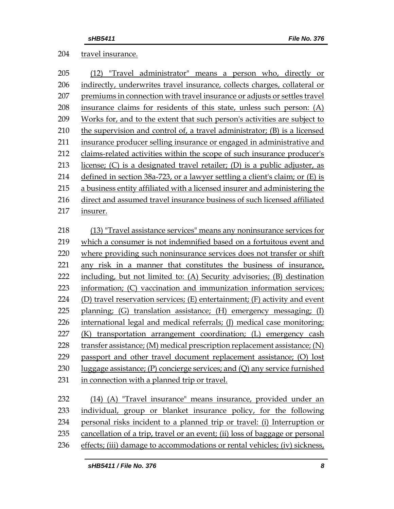## 204 travel insurance.

| 205 | (12) "Travel administrator" means a person who, directly or                    |
|-----|--------------------------------------------------------------------------------|
| 206 | indirectly, underwrites travel insurance, collects charges, collateral or      |
| 207 | premiums in connection with travel insurance or adjusts or settles travel      |
| 208 | insurance claims for residents of this state, unless such person: (A)          |
| 209 | Works for, and to the extent that such person's activities are subject to      |
| 210 | the supervision and control of, a travel administrator; (B) is a licensed      |
| 211 | insurance producer selling insurance or engaged in administrative and          |
| 212 | claims-related activities within the scope of such insurance producer's        |
| 213 | license; $(C)$ is a designated travel retailer; $(D)$ is a public adjuster, as |
| 214 | defined in section 38a-723, or a lawyer settling a client's claim; or (E) is   |
| 215 | a business entity affiliated with a licensed insurer and administering the     |
| 216 | direct and assumed travel insurance business of such licensed affiliated       |
| 217 | insurer.                                                                       |
|     |                                                                                |
| 218 | (13) "Travel assistance services" means any noninsurance services for          |
| 219 | which a consumer is not indemnified based on a fortuitous event and            |
| 220 | where providing such noninsurance services does not transfer or shift          |
| 221 | any risk in a manner that constitutes the business of insurance,               |
| 222 | including, but not limited to: (A) Security advisories; (B) destination        |
| 223 | information; (C) vaccination and immunization information services;            |
| 224 | (D) travel reservation services; (E) entertainment; (F) activity and event     |
| 225 | planning; (G) translation assistance; (H) emergency messaging;<br>(I)          |
| 226 | international legal and medical referrals; (J) medical case monitoring;        |
| 227 | transportation arrangement coordination; (L) emergency cash<br>(K)             |
| 228 | transfer assistance; (M) medical prescription replacement assistance; (N)      |
| 229 | passport and other travel document replacement assistance; (O) lost            |
| 230 | luggage assistance; (P) concierge services; and (Q) any service furnished      |
| 231 | in connection with a planned trip or travel.                                   |
|     |                                                                                |
| 232 | (14) (A) "Travel insurance" means insurance, provided under an                 |
| 233 | individual, group or blanket insurance policy, for the following               |
| 234 | personal risks incident to a planned trip or travel: (i) Interruption or       |
| 235 | cancellation of a trip, travel or an event; (ii) loss of baggage or personal   |
| 236 | effects; (iii) damage to accommodations or rental vehicles; (iv) sickness,     |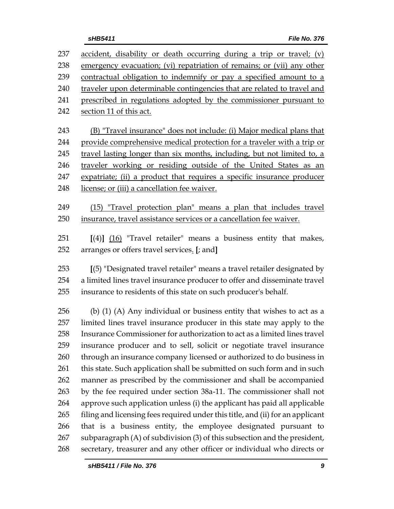| 237 | accident, disability or death occurring during a trip or travel; (v)           |
|-----|--------------------------------------------------------------------------------|
| 238 | emergency evacuation; (vi) repatriation of remains; or (vii) any other         |
| 239 | contractual obligation to indemnify or pay a specified amount to a             |
| 240 | traveler upon determinable contingencies that are related to travel and        |
| 241 | prescribed in regulations adopted by the commissioner pursuant to              |
| 242 | section 11 of this act.                                                        |
| 243 | (B) "Travel insurance" does not include: (i) Major medical plans that          |
| 244 | provide comprehensive medical protection for a traveler with a trip or         |
| 245 | travel lasting longer than six months, including, but not limited to, a        |
| 246 | traveler working or residing outside of the United States as an                |
| 247 | expatriate; (ii) a product that requires a specific insurance producer         |
| 248 | license; or (iii) a cancellation fee waiver.                                   |
| 249 | (15) "Travel protection plan" means a plan that includes travel                |
| 250 | insurance, travel assistance services or a cancellation fee waiver.            |
| 251 | $[(4)]$ (16) "Travel retailer" means a business entity that makes,             |
| 252 | arranges or offers travel services. [; and]                                    |
|     |                                                                                |
| 253 | [(5) "Designated travel retailer" means a travel retailer designated by        |
| 254 | a limited lines travel insurance producer to offer and disseminate travel      |
| 255 | insurance to residents of this state on such producer's behalf.                |
| 256 | (b) (1) (A) Any individual or business entity that wishes to act as a          |
| 257 | limited lines travel insurance producer in this state may apply to the         |
| 258 | Insurance Commissioner for authorization to act as a limited lines travel      |
| 259 | insurance producer and to sell, solicit or negotiate travel insurance          |
| 260 | through an insurance company licensed or authorized to do business in          |
| 261 | this state. Such application shall be submitted on such form and in such       |
| 262 | manner as prescribed by the commissioner and shall be accompanied              |
| 263 | by the fee required under section 38a-11. The commissioner shall not           |
| 264 | approve such application unless (i) the applicant has paid all applicable      |
| 265 | filing and licensing fees required under this title, and (ii) for an applicant |
| 266 | that is a business entity, the employee designated pursuant to                 |
| 267 | subparagraph (A) of subdivision (3) of this subsection and the president,      |
| 268 | secretary, treasurer and any other officer or individual who directs or        |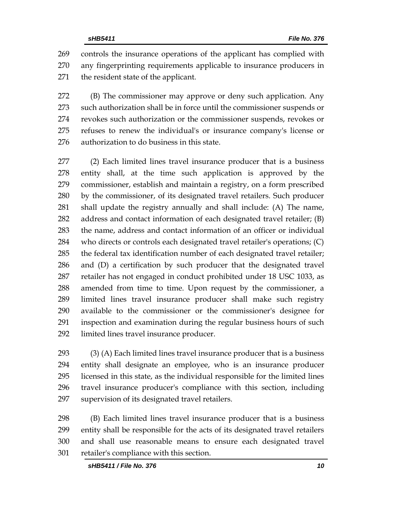controls the insurance operations of the applicant has complied with any fingerprinting requirements applicable to insurance producers in the resident state of the applicant.

 (B) The commissioner may approve or deny such application. Any such authorization shall be in force until the commissioner suspends or revokes such authorization or the commissioner suspends, revokes or refuses to renew the individual's or insurance company's license or authorization to do business in this state.

 (2) Each limited lines travel insurance producer that is a business entity shall, at the time such application is approved by the commissioner, establish and maintain a registry, on a form prescribed by the commissioner, of its designated travel retailers. Such producer shall update the registry annually and shall include: (A) The name, address and contact information of each designated travel retailer; (B) the name, address and contact information of an officer or individual who directs or controls each designated travel retailer's operations; (C) the federal tax identification number of each designated travel retailer; and (D) a certification by such producer that the designated travel retailer has not engaged in conduct prohibited under 18 USC 1033, as amended from time to time. Upon request by the commissioner, a limited lines travel insurance producer shall make such registry available to the commissioner or the commissioner's designee for inspection and examination during the regular business hours of such limited lines travel insurance producer.

 (3) (A) Each limited lines travel insurance producer that is a business entity shall designate an employee, who is an insurance producer licensed in this state, as the individual responsible for the limited lines travel insurance producer's compliance with this section, including supervision of its designated travel retailers.

 (B) Each limited lines travel insurance producer that is a business entity shall be responsible for the acts of its designated travel retailers and shall use reasonable means to ensure each designated travel retailer's compliance with this section.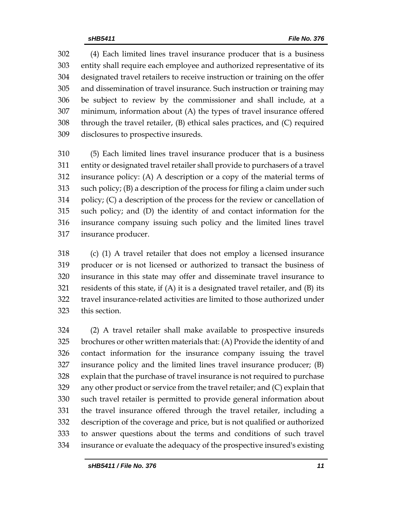(4) Each limited lines travel insurance producer that is a business entity shall require each employee and authorized representative of its designated travel retailers to receive instruction or training on the offer and dissemination of travel insurance. Such instruction or training may be subject to review by the commissioner and shall include, at a minimum, information about (A) the types of travel insurance offered through the travel retailer, (B) ethical sales practices, and (C) required disclosures to prospective insureds.

 (5) Each limited lines travel insurance producer that is a business entity or designated travel retailer shall provide to purchasers of a travel insurance policy: (A) A description or a copy of the material terms of such policy; (B) a description of the process for filing a claim under such policy; (C) a description of the process for the review or cancellation of such policy; and (D) the identity of and contact information for the insurance company issuing such policy and the limited lines travel insurance producer.

 (c) (1) A travel retailer that does not employ a licensed insurance producer or is not licensed or authorized to transact the business of insurance in this state may offer and disseminate travel insurance to residents of this state, if (A) it is a designated travel retailer, and (B) its travel insurance-related activities are limited to those authorized under this section.

 (2) A travel retailer shall make available to prospective insureds brochures or other written materials that: (A) Provide the identity of and contact information for the insurance company issuing the travel insurance policy and the limited lines travel insurance producer; (B) explain that the purchase of travel insurance is not required to purchase any other product or service from the travel retailer; and (C) explain that such travel retailer is permitted to provide general information about the travel insurance offered through the travel retailer, including a description of the coverage and price, but is not qualified or authorized to answer questions about the terms and conditions of such travel insurance or evaluate the adequacy of the prospective insured's existing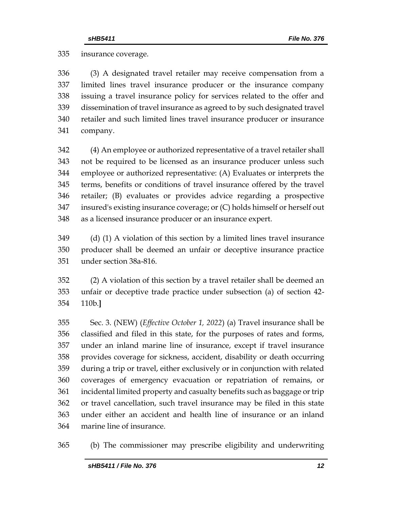insurance coverage.

 (3) A designated travel retailer may receive compensation from a limited lines travel insurance producer or the insurance company issuing a travel insurance policy for services related to the offer and dissemination of travel insurance as agreed to by such designated travel retailer and such limited lines travel insurance producer or insurance company.

 (4) An employee or authorized representative of a travel retailer shall not be required to be licensed as an insurance producer unless such employee or authorized representative: (A) Evaluates or interprets the terms, benefits or conditions of travel insurance offered by the travel retailer; (B) evaluates or provides advice regarding a prospective insured's existing insurance coverage; or (C) holds himself or herself out as a licensed insurance producer or an insurance expert.

 (d) (1) A violation of this section by a limited lines travel insurance producer shall be deemed an unfair or deceptive insurance practice under section 38a-816.

 (2) A violation of this section by a travel retailer shall be deemed an unfair or deceptive trade practice under subsection (a) of section 42- 110b.**]**

 Sec. 3. (NEW) (*Effective October 1, 2022*) (a) Travel insurance shall be classified and filed in this state, for the purposes of rates and forms, under an inland marine line of insurance, except if travel insurance provides coverage for sickness, accident, disability or death occurring during a trip or travel, either exclusively or in conjunction with related coverages of emergency evacuation or repatriation of remains, or incidental limited property and casualty benefits such as baggage or trip or travel cancellation, such travel insurance may be filed in this state under either an accident and health line of insurance or an inland marine line of insurance.

(b) The commissioner may prescribe eligibility and underwriting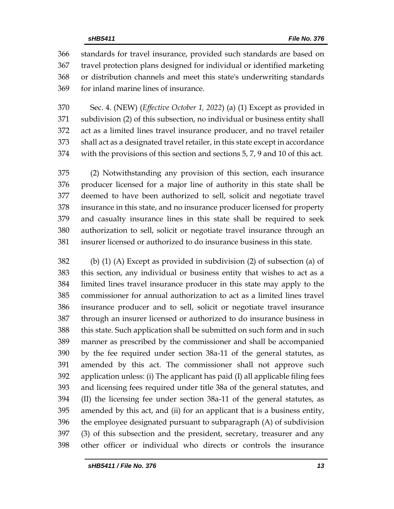standards for travel insurance, provided such standards are based on travel protection plans designed for individual or identified marketing or distribution channels and meet this state's underwriting standards for inland marine lines of insurance.

 Sec. 4. (NEW) (*Effective October 1, 2022*) (a) (1) Except as provided in subdivision (2) of this subsection, no individual or business entity shall act as a limited lines travel insurance producer, and no travel retailer shall act as a designated travel retailer, in this state except in accordance with the provisions of this section and sections 5, 7, 9 and 10 of this act.

 (2) Notwithstanding any provision of this section, each insurance producer licensed for a major line of authority in this state shall be deemed to have been authorized to sell, solicit and negotiate travel insurance in this state, and no insurance producer licensed for property and casualty insurance lines in this state shall be required to seek authorization to sell, solicit or negotiate travel insurance through an insurer licensed or authorized to do insurance business in this state.

 (b) (1) (A) Except as provided in subdivision (2) of subsection (a) of this section, any individual or business entity that wishes to act as a limited lines travel insurance producer in this state may apply to the commissioner for annual authorization to act as a limited lines travel insurance producer and to sell, solicit or negotiate travel insurance through an insurer licensed or authorized to do insurance business in this state. Such application shall be submitted on such form and in such manner as prescribed by the commissioner and shall be accompanied by the fee required under section 38a-11 of the general statutes, as amended by this act. The commissioner shall not approve such application unless: (i) The applicant has paid (I) all applicable filing fees and licensing fees required under title 38a of the general statutes, and (II) the licensing fee under section 38a-11 of the general statutes, as amended by this act, and (ii) for an applicant that is a business entity, the employee designated pursuant to subparagraph (A) of subdivision (3) of this subsection and the president, secretary, treasurer and any other officer or individual who directs or controls the insurance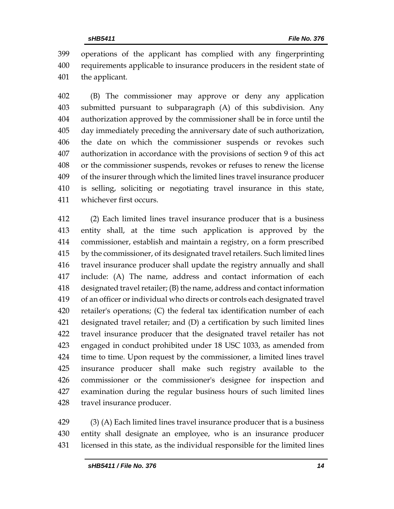operations of the applicant has complied with any fingerprinting requirements applicable to insurance producers in the resident state of the applicant.

 (B) The commissioner may approve or deny any application submitted pursuant to subparagraph (A) of this subdivision. Any authorization approved by the commissioner shall be in force until the day immediately preceding the anniversary date of such authorization, the date on which the commissioner suspends or revokes such authorization in accordance with the provisions of section 9 of this act or the commissioner suspends, revokes or refuses to renew the license of the insurer through which the limited lines travel insurance producer is selling, soliciting or negotiating travel insurance in this state, whichever first occurs.

 (2) Each limited lines travel insurance producer that is a business entity shall, at the time such application is approved by the commissioner, establish and maintain a registry, on a form prescribed by the commissioner, of its designated travel retailers. Such limited lines travel insurance producer shall update the registry annually and shall include: (A) The name, address and contact information of each designated travel retailer; (B) the name, address and contact information of an officer or individual who directs or controls each designated travel retailer's operations; (C) the federal tax identification number of each designated travel retailer; and (D) a certification by such limited lines travel insurance producer that the designated travel retailer has not engaged in conduct prohibited under 18 USC 1033, as amended from time to time. Upon request by the commissioner, a limited lines travel insurance producer shall make such registry available to the commissioner or the commissioner's designee for inspection and examination during the regular business hours of such limited lines travel insurance producer.

 (3) (A) Each limited lines travel insurance producer that is a business entity shall designate an employee, who is an insurance producer licensed in this state, as the individual responsible for the limited lines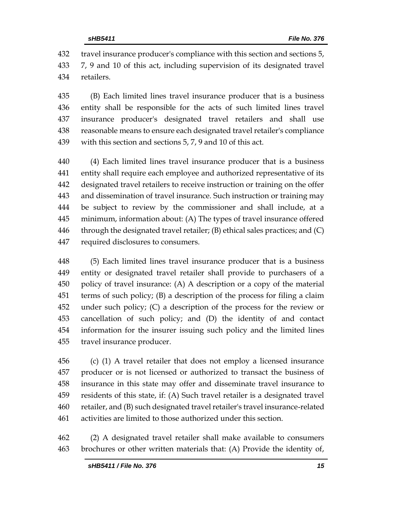travel insurance producer's compliance with this section and sections 5,

 7, 9 and 10 of this act, including supervision of its designated travel retailers.

 (B) Each limited lines travel insurance producer that is a business entity shall be responsible for the acts of such limited lines travel insurance producer's designated travel retailers and shall use reasonable means to ensure each designated travel retailer's compliance with this section and sections 5, 7, 9 and 10 of this act.

 (4) Each limited lines travel insurance producer that is a business entity shall require each employee and authorized representative of its designated travel retailers to receive instruction or training on the offer and dissemination of travel insurance. Such instruction or training may be subject to review by the commissioner and shall include, at a minimum, information about: (A) The types of travel insurance offered 446 through the designated travel retailer;  $(B)$  ethical sales practices; and  $(C)$ required disclosures to consumers.

 (5) Each limited lines travel insurance producer that is a business entity or designated travel retailer shall provide to purchasers of a policy of travel insurance: (A) A description or a copy of the material terms of such policy; (B) a description of the process for filing a claim under such policy; (C) a description of the process for the review or cancellation of such policy; and (D) the identity of and contact information for the insurer issuing such policy and the limited lines travel insurance producer.

 (c) (1) A travel retailer that does not employ a licensed insurance producer or is not licensed or authorized to transact the business of insurance in this state may offer and disseminate travel insurance to residents of this state, if: (A) Such travel retailer is a designated travel retailer, and (B) such designated travel retailer's travel insurance-related activities are limited to those authorized under this section.

 (2) A designated travel retailer shall make available to consumers brochures or other written materials that: (A) Provide the identity of,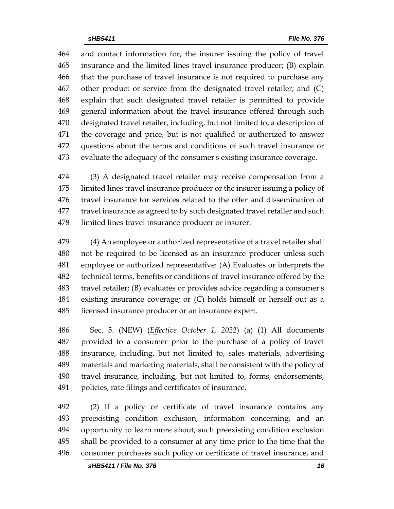and contact information for, the insurer issuing the policy of travel insurance and the limited lines travel insurance producer; (B) explain that the purchase of travel insurance is not required to purchase any other product or service from the designated travel retailer; and (C) explain that such designated travel retailer is permitted to provide general information about the travel insurance offered through such designated travel retailer, including, but not limited to, a description of the coverage and price, but is not qualified or authorized to answer questions about the terms and conditions of such travel insurance or evaluate the adequacy of the consumer's existing insurance coverage.

 (3) A designated travel retailer may receive compensation from a limited lines travel insurance producer or the insurer issuing a policy of travel insurance for services related to the offer and dissemination of travel insurance as agreed to by such designated travel retailer and such limited lines travel insurance producer or insurer.

 (4) An employee or authorized representative of a travel retailer shall not be required to be licensed as an insurance producer unless such employee or authorized representative: (A) Evaluates or interprets the technical terms, benefits or conditions of travel insurance offered by the travel retailer; (B) evaluates or provides advice regarding a consumer's existing insurance coverage; or (C) holds himself or herself out as a licensed insurance producer or an insurance expert.

 Sec. 5. (NEW) (*Effective October 1, 2022*) (a) (1) All documents provided to a consumer prior to the purchase of a policy of travel insurance, including, but not limited to, sales materials, advertising materials and marketing materials, shall be consistent with the policy of travel insurance, including, but not limited to, forms, endorsements, policies, rate filings and certificates of insurance.

 (2) If a policy or certificate of travel insurance contains any preexisting condition exclusion, information concerning, and an opportunity to learn more about, such preexisting condition exclusion shall be provided to a consumer at any time prior to the time that the consumer purchases such policy or certificate of travel insurance, and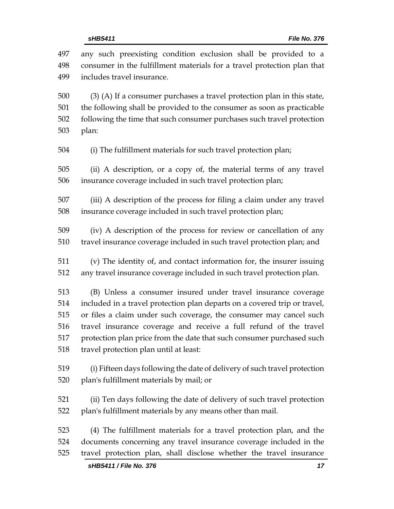| 497 | any such preexisting condition exclusion shall be provided to a           |
|-----|---------------------------------------------------------------------------|
| 498 | consumer in the fulfillment materials for a travel protection plan that   |
| 499 | includes travel insurance.                                                |
| 500 | (3) (A) If a consumer purchases a travel protection plan in this state,   |
| 501 | the following shall be provided to the consumer as soon as practicable    |
| 502 | following the time that such consumer purchases such travel protection    |
| 503 | plan:                                                                     |
| 504 | (i) The fulfillment materials for such travel protection plan;            |
| 505 | (ii) A description, or a copy of, the material terms of any travel        |
| 506 | insurance coverage included in such travel protection plan;               |
| 507 | (iii) A description of the process for filing a claim under any travel    |
| 508 | insurance coverage included in such travel protection plan;               |
| 509 | (iv) A description of the process for review or cancellation of any       |
| 510 | travel insurance coverage included in such travel protection plan; and    |
| 511 | (v) The identity of, and contact information for, the insurer issuing     |
| 512 | any travel insurance coverage included in such travel protection plan.    |
| 513 | (B) Unless a consumer insured under travel insurance coverage             |
| 514 | included in a travel protection plan departs on a covered trip or travel, |
| 515 | or files a claim under such coverage, the consumer may cancel such        |
| 516 | travel insurance coverage and receive a full refund of the travel         |
| 517 | protection plan price from the date that such consumer purchased such     |
| 518 | travel protection plan until at least:                                    |
| 519 | (i) Fifteen days following the date of delivery of such travel protection |
| 520 | plan's fulfillment materials by mail; or                                  |
| 521 | (ii) Ten days following the date of delivery of such travel protection    |
| 522 | plan's fulfillment materials by any means other than mail.                |
| 523 | (4) The fulfillment materials for a travel protection plan, and the       |
| 524 | documents concerning any travel insurance coverage included in the        |
| 525 | travel protection plan, shall disclose whether the travel insurance       |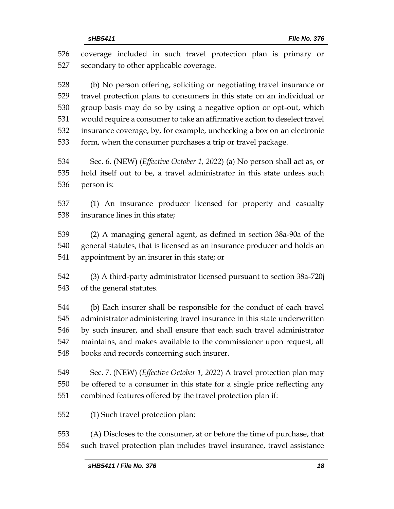coverage included in such travel protection plan is primary or secondary to other applicable coverage. (b) No person offering, soliciting or negotiating travel insurance or travel protection plans to consumers in this state on an individual or group basis may do so by using a negative option or opt-out, which would require a consumer to take an affirmative action to deselect travel insurance coverage, by, for example, unchecking a box on an electronic form, when the consumer purchases a trip or travel package. Sec. 6. (NEW) (*Effective October 1, 2022*) (a) No person shall act as, or hold itself out to be, a travel administrator in this state unless such person is: (1) An insurance producer licensed for property and casualty insurance lines in this state; (2) A managing general agent, as defined in section 38a-90a of the general statutes, that is licensed as an insurance producer and holds an appointment by an insurer in this state; or (3) A third-party administrator licensed pursuant to section 38a-720j of the general statutes. (b) Each insurer shall be responsible for the conduct of each travel administrator administering travel insurance in this state underwritten by such insurer, and shall ensure that each such travel administrator maintains, and makes available to the commissioner upon request, all books and records concerning such insurer. Sec. 7. (NEW) (*Effective October 1, 2022*) A travel protection plan may be offered to a consumer in this state for a single price reflecting any combined features offered by the travel protection plan if: (1) Such travel protection plan: (A) Discloses to the consumer, at or before the time of purchase, that such travel protection plan includes travel insurance, travel assistance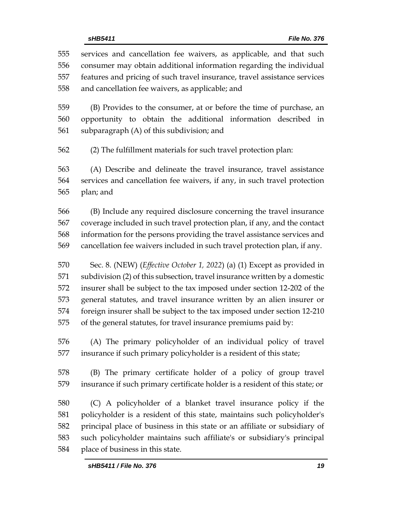services and cancellation fee waivers, as applicable, and that such consumer may obtain additional information regarding the individual features and pricing of such travel insurance, travel assistance services and cancellation fee waivers, as applicable; and

 (B) Provides to the consumer, at or before the time of purchase, an opportunity to obtain the additional information described in subparagraph (A) of this subdivision; and

(2) The fulfillment materials for such travel protection plan:

 (A) Describe and delineate the travel insurance, travel assistance services and cancellation fee waivers, if any, in such travel protection plan; and

 (B) Include any required disclosure concerning the travel insurance coverage included in such travel protection plan, if any, and the contact information for the persons providing the travel assistance services and cancellation fee waivers included in such travel protection plan, if any.

 Sec. 8. (NEW) (*Effective October 1, 2022*) (a) (1) Except as provided in subdivision (2) of this subsection, travel insurance written by a domestic insurer shall be subject to the tax imposed under section 12-202 of the general statutes, and travel insurance written by an alien insurer or foreign insurer shall be subject to the tax imposed under section 12-210 of the general statutes, for travel insurance premiums paid by:

 (A) The primary policyholder of an individual policy of travel insurance if such primary policyholder is a resident of this state;

 (B) The primary certificate holder of a policy of group travel insurance if such primary certificate holder is a resident of this state; or

 (C) A policyholder of a blanket travel insurance policy if the policyholder is a resident of this state, maintains such policyholder's principal place of business in this state or an affiliate or subsidiary of such policyholder maintains such affiliate's or subsidiary's principal place of business in this state.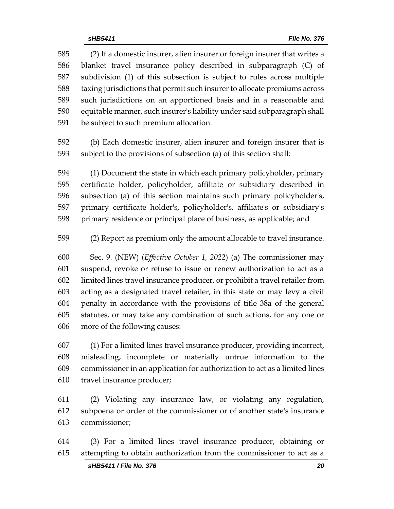(2) If a domestic insurer, alien insurer or foreign insurer that writes a blanket travel insurance policy described in subparagraph (C) of subdivision (1) of this subsection is subject to rules across multiple taxing jurisdictions that permit such insurer to allocate premiums across such jurisdictions on an apportioned basis and in a reasonable and equitable manner, such insurer's liability under said subparagraph shall be subject to such premium allocation.

 (b) Each domestic insurer, alien insurer and foreign insurer that is subject to the provisions of subsection (a) of this section shall:

 (1) Document the state in which each primary policyholder, primary certificate holder, policyholder, affiliate or subsidiary described in subsection (a) of this section maintains such primary policyholder's, primary certificate holder's, policyholder's, affiliate's or subsidiary's primary residence or principal place of business, as applicable; and

(2) Report as premium only the amount allocable to travel insurance.

 Sec. 9. (NEW) (*Effective October 1, 2022*) (a) The commissioner may suspend, revoke or refuse to issue or renew authorization to act as a limited lines travel insurance producer, or prohibit a travel retailer from acting as a designated travel retailer, in this state or may levy a civil penalty in accordance with the provisions of title 38a of the general statutes, or may take any combination of such actions, for any one or more of the following causes:

 (1) For a limited lines travel insurance producer, providing incorrect, misleading, incomplete or materially untrue information to the commissioner in an application for authorization to act as a limited lines travel insurance producer;

 (2) Violating any insurance law, or violating any regulation, subpoena or order of the commissioner or of another state's insurance commissioner;

 (3) For a limited lines travel insurance producer, obtaining or attempting to obtain authorization from the commissioner to act as a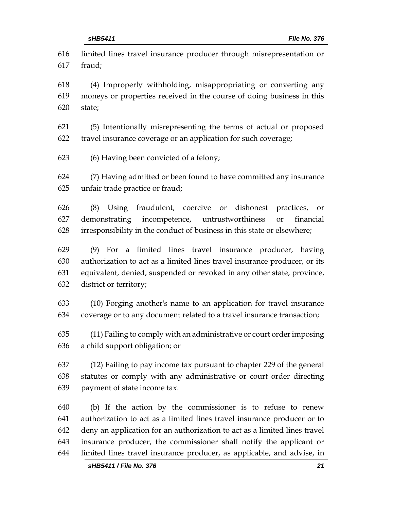| 616               | limited lines travel insurance producer through misrepresentation or                                                                                                                                           |  |  |
|-------------------|----------------------------------------------------------------------------------------------------------------------------------------------------------------------------------------------------------------|--|--|
| 617               | fraud;                                                                                                                                                                                                         |  |  |
| 618               | (4) Improperly withholding, misappropriating or converting any                                                                                                                                                 |  |  |
| 619               | moneys or properties received in the course of doing business in this                                                                                                                                          |  |  |
| 620               | state;                                                                                                                                                                                                         |  |  |
| 621               | (5) Intentionally misrepresenting the terms of actual or proposed                                                                                                                                              |  |  |
| 622               | travel insurance coverage or an application for such coverage;                                                                                                                                                 |  |  |
| 623               | (6) Having been convicted of a felony;                                                                                                                                                                         |  |  |
| 624               | (7) Having admitted or been found to have committed any insurance                                                                                                                                              |  |  |
| 625               | unfair trade practice or fraud;                                                                                                                                                                                |  |  |
| 626<br>627<br>628 | Using fraudulent, coercive or dishonest practices,<br>(8)<br>or<br>demonstrating incompetence, untrustworthiness<br>financial<br>or<br>irresponsibility in the conduct of business in this state or elsewhere; |  |  |
| 629               | (9) For a limited lines travel insurance producer, having                                                                                                                                                      |  |  |
| 630               | authorization to act as a limited lines travel insurance producer, or its                                                                                                                                      |  |  |
| 631               | equivalent, denied, suspended or revoked in any other state, province,                                                                                                                                         |  |  |
| 632               | district or territory;                                                                                                                                                                                         |  |  |
| 633               | (10) Forging another's name to an application for travel insurance                                                                                                                                             |  |  |
| 634               | coverage or to any document related to a travel insurance transaction;                                                                                                                                         |  |  |
| 635               | (11) Failing to comply with an administrative or court order imposing                                                                                                                                          |  |  |
| 636               | a child support obligation; or                                                                                                                                                                                 |  |  |
| 637               | (12) Failing to pay income tax pursuant to chapter 229 of the general                                                                                                                                          |  |  |
| 638               | statutes or comply with any administrative or court order directing                                                                                                                                            |  |  |
| 639               | payment of state income tax.                                                                                                                                                                                   |  |  |
| 640               | (b) If the action by the commissioner is to refuse to renew                                                                                                                                                    |  |  |
| 641               | authorization to act as a limited lines travel insurance producer or to                                                                                                                                        |  |  |
| 642               | deny an application for an authorization to act as a limited lines travel                                                                                                                                      |  |  |
| 643               | insurance producer, the commissioner shall notify the applicant or                                                                                                                                             |  |  |
| 644               | limited lines travel insurance producer, as applicable, and advise, in                                                                                                                                         |  |  |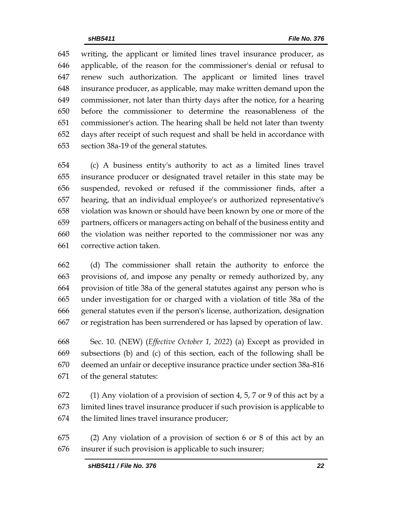writing, the applicant or limited lines travel insurance producer, as applicable, of the reason for the commissioner's denial or refusal to renew such authorization. The applicant or limited lines travel insurance producer, as applicable, may make written demand upon the commissioner, not later than thirty days after the notice, for a hearing before the commissioner to determine the reasonableness of the commissioner's action. The hearing shall be held not later than twenty days after receipt of such request and shall be held in accordance with section 38a-19 of the general statutes.

 (c) A business entity's authority to act as a limited lines travel insurance producer or designated travel retailer in this state may be suspended, revoked or refused if the commissioner finds, after a hearing, that an individual employee's or authorized representative's violation was known or should have been known by one or more of the partners, officers or managers acting on behalf of the business entity and the violation was neither reported to the commissioner nor was any corrective action taken.

 (d) The commissioner shall retain the authority to enforce the provisions of, and impose any penalty or remedy authorized by, any provision of title 38a of the general statutes against any person who is under investigation for or charged with a violation of title 38a of the general statutes even if the person's license, authorization, designation or registration has been surrendered or has lapsed by operation of law.

 Sec. 10. (NEW) (*Effective October 1, 2022*) (a) Except as provided in subsections (b) and (c) of this section, each of the following shall be deemed an unfair or deceptive insurance practice under section 38a-816 of the general statutes:

 (1) Any violation of a provision of section 4, 5, 7 or 9 of this act by a limited lines travel insurance producer if such provision is applicable to the limited lines travel insurance producer;

 (2) Any violation of a provision of section 6 or 8 of this act by an insurer if such provision is applicable to such insurer;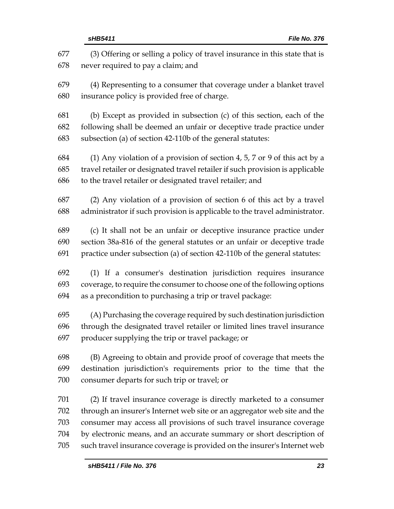|            | sHB5411<br>File No. 376                                                                                          |
|------------|------------------------------------------------------------------------------------------------------------------|
| 677<br>678 | (3) Offering or selling a policy of travel insurance in this state that is<br>never required to pay a claim; and |
| 679        | (4) Representing to a consumer that coverage under a blanket travel                                              |
| 680        | insurance policy is provided free of charge.                                                                     |
| 681        | (b) Except as provided in subsection (c) of this section, each of the                                            |
| 682        | following shall be deemed an unfair or deceptive trade practice under                                            |
| 683        | subsection (a) of section 42-110b of the general statutes:                                                       |
| 684        | (1) Any violation of a provision of section 4, 5, 7 or 9 of this act by a                                        |
| 685        | travel retailer or designated travel retailer if such provision is applicable                                    |
| 686        | to the travel retailer or designated travel retailer; and                                                        |
| 687        | (2) Any violation of a provision of section 6 of this act by a travel                                            |
| 688        | administrator if such provision is applicable to the travel administrator.                                       |
| 689        | (c) It shall not be an unfair or deceptive insurance practice under                                              |
| 690        | section 38a-816 of the general statutes or an unfair or deceptive trade                                          |
| 691        | practice under subsection (a) of section 42-110b of the general statutes:                                        |
| 692        | (1) If a consumer's destination jurisdiction requires insurance                                                  |
| 693        | coverage, to require the consumer to choose one of the following options                                         |
| 694        | as a precondition to purchasing a trip or travel package:                                                        |
| 695        | (A) Purchasing the coverage required by such destination jurisdiction                                            |
| 696        | through the designated travel retailer or limited lines travel insurance                                         |
| 697        | producer supplying the trip or travel package; or                                                                |
| 698        | (B) Agreeing to obtain and provide proof of coverage that meets the                                              |
| 699        | destination jurisdiction's requirements prior to the time that the                                               |
| 700        | consumer departs for such trip or travel; or                                                                     |
| 701        | (2) If travel insurance coverage is directly marketed to a consumer                                              |
| 702        | through an insurer's Internet web site or an aggregator web site and the                                         |
| 703        | consumer may access all provisions of such travel insurance coverage                                             |
| 704        | by electronic means, and an accurate summary or short description of                                             |
| 705        | such travel insurance coverage is provided on the insurer's Internet web                                         |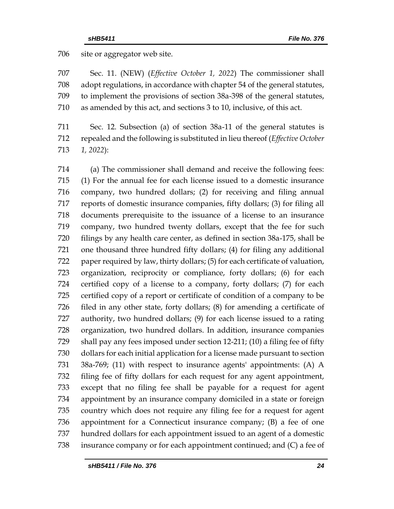site or aggregator web site.

 Sec. 11. (NEW) (*Effective October 1, 2022*) The commissioner shall adopt regulations, in accordance with chapter 54 of the general statutes, to implement the provisions of section 38a-398 of the general statutes, as amended by this act, and sections 3 to 10, inclusive, of this act.

 Sec. 12. Subsection (a) of section 38a-11 of the general statutes is repealed and the following is substituted in lieu thereof (*Effective October 1, 2022*):

 (a) The commissioner shall demand and receive the following fees: (1) For the annual fee for each license issued to a domestic insurance company, two hundred dollars; (2) for receiving and filing annual reports of domestic insurance companies, fifty dollars; (3) for filing all documents prerequisite to the issuance of a license to an insurance company, two hundred twenty dollars, except that the fee for such filings by any health care center, as defined in section 38a-175, shall be one thousand three hundred fifty dollars; (4) for filing any additional paper required by law, thirty dollars; (5) for each certificate of valuation, organization, reciprocity or compliance, forty dollars; (6) for each certified copy of a license to a company, forty dollars; (7) for each certified copy of a report or certificate of condition of a company to be filed in any other state, forty dollars; (8) for amending a certificate of authority, two hundred dollars; (9) for each license issued to a rating organization, two hundred dollars. In addition, insurance companies shall pay any fees imposed under section 12-211; (10) a filing fee of fifty dollars for each initial application for a license made pursuant to section 38a-769; (11) with respect to insurance agents' appointments: (A) A filing fee of fifty dollars for each request for any agent appointment, except that no filing fee shall be payable for a request for agent appointment by an insurance company domiciled in a state or foreign country which does not require any filing fee for a request for agent appointment for a Connecticut insurance company; (B) a fee of one hundred dollars for each appointment issued to an agent of a domestic insurance company or for each appointment continued; and (C) a fee of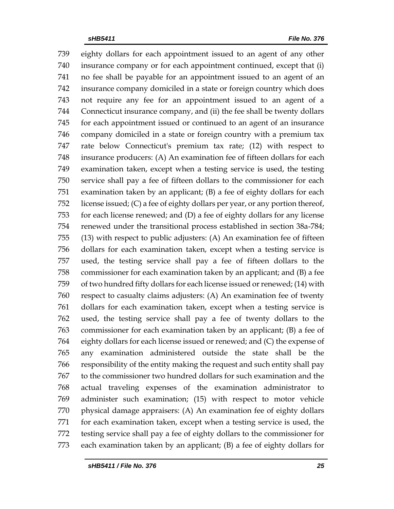eighty dollars for each appointment issued to an agent of any other insurance company or for each appointment continued, except that (i) no fee shall be payable for an appointment issued to an agent of an insurance company domiciled in a state or foreign country which does not require any fee for an appointment issued to an agent of a Connecticut insurance company, and (ii) the fee shall be twenty dollars for each appointment issued or continued to an agent of an insurance company domiciled in a state or foreign country with a premium tax rate below Connecticut's premium tax rate; (12) with respect to insurance producers: (A) An examination fee of fifteen dollars for each examination taken, except when a testing service is used, the testing service shall pay a fee of fifteen dollars to the commissioner for each examination taken by an applicant; (B) a fee of eighty dollars for each license issued; (C) a fee of eighty dollars per year, or any portion thereof, for each license renewed; and (D) a fee of eighty dollars for any license renewed under the transitional process established in section 38a-784; (13) with respect to public adjusters: (A) An examination fee of fifteen dollars for each examination taken, except when a testing service is used, the testing service shall pay a fee of fifteen dollars to the commissioner for each examination taken by an applicant; and (B) a fee of two hundred fifty dollars for each license issued or renewed; (14) with respect to casualty claims adjusters: (A) An examination fee of twenty dollars for each examination taken, except when a testing service is used, the testing service shall pay a fee of twenty dollars to the commissioner for each examination taken by an applicant; (B) a fee of eighty dollars for each license issued or renewed; and (C) the expense of any examination administered outside the state shall be the responsibility of the entity making the request and such entity shall pay to the commissioner two hundred dollars for such examination and the actual traveling expenses of the examination administrator to administer such examination; (15) with respect to motor vehicle physical damage appraisers: (A) An examination fee of eighty dollars for each examination taken, except when a testing service is used, the testing service shall pay a fee of eighty dollars to the commissioner for each examination taken by an applicant; (B) a fee of eighty dollars for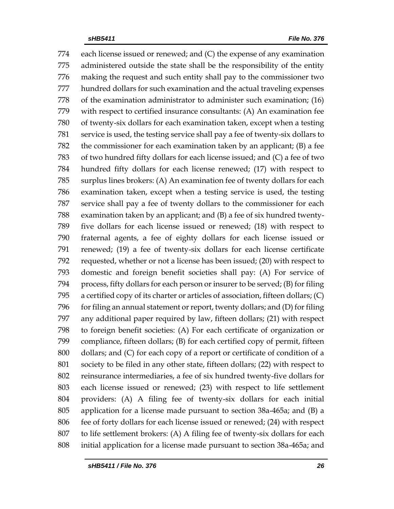each license issued or renewed; and (C) the expense of any examination administered outside the state shall be the responsibility of the entity making the request and such entity shall pay to the commissioner two hundred dollars for such examination and the actual traveling expenses of the examination administrator to administer such examination; (16) with respect to certified insurance consultants: (A) An examination fee of twenty-six dollars for each examination taken, except when a testing service is used, the testing service shall pay a fee of twenty-six dollars to the commissioner for each examination taken by an applicant; (B) a fee of two hundred fifty dollars for each license issued; and (C) a fee of two hundred fifty dollars for each license renewed; (17) with respect to surplus lines brokers: (A) An examination fee of twenty dollars for each examination taken, except when a testing service is used, the testing service shall pay a fee of twenty dollars to the commissioner for each examination taken by an applicant; and (B) a fee of six hundred twenty- five dollars for each license issued or renewed; (18) with respect to fraternal agents, a fee of eighty dollars for each license issued or renewed; (19) a fee of twenty-six dollars for each license certificate requested, whether or not a license has been issued; (20) with respect to domestic and foreign benefit societies shall pay: (A) For service of process, fifty dollars for each person or insurer to be served; (B) for filing a certified copy of its charter or articles of association, fifteen dollars; (C) 796 for filing an annual statement or report, twenty dollars; and (D) for filing any additional paper required by law, fifteen dollars; (21) with respect to foreign benefit societies: (A) For each certificate of organization or compliance, fifteen dollars; (B) for each certified copy of permit, fifteen dollars; and (C) for each copy of a report or certificate of condition of a society to be filed in any other state, fifteen dollars; (22) with respect to reinsurance intermediaries, a fee of six hundred twenty-five dollars for each license issued or renewed; (23) with respect to life settlement providers: (A) A filing fee of twenty-six dollars for each initial application for a license made pursuant to section 38a-465a; and (B) a fee of forty dollars for each license issued or renewed; (24) with respect to life settlement brokers: (A) A filing fee of twenty-six dollars for each initial application for a license made pursuant to section 38a-465a; and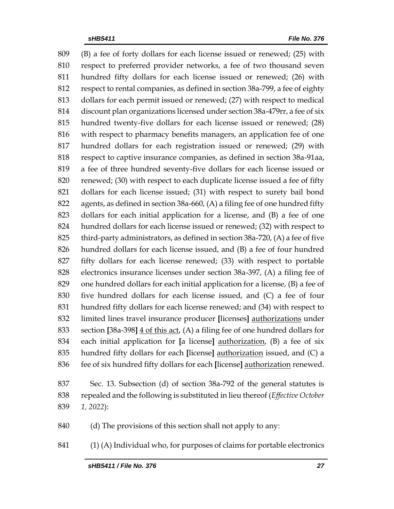(B) a fee of forty dollars for each license issued or renewed; (25) with respect to preferred provider networks, a fee of two thousand seven hundred fifty dollars for each license issued or renewed; (26) with respect to rental companies, as defined in section 38a-799, a fee of eighty dollars for each permit issued or renewed; (27) with respect to medical discount plan organizations licensed under section 38a-479rr, a fee of six hundred twenty-five dollars for each license issued or renewed; (28) with respect to pharmacy benefits managers, an application fee of one hundred dollars for each registration issued or renewed; (29) with respect to captive insurance companies, as defined in section 38a-91aa, a fee of three hundred seventy-five dollars for each license issued or renewed; (30) with respect to each duplicate license issued a fee of fifty dollars for each license issued; (31) with respect to surety bail bond agents, as defined in section 38a-660, (A) a filing fee of one hundred fifty dollars for each initial application for a license, and (B) a fee of one hundred dollars for each license issued or renewed; (32) with respect to 825 third-party administrators, as defined in section 38a-720, (A) a fee of five hundred dollars for each license issued, and (B) a fee of four hundred fifty dollars for each license renewed; (33) with respect to portable electronics insurance licenses under section 38a-397, (A) a filing fee of one hundred dollars for each initial application for a license, (B) a fee of five hundred dollars for each license issued, and (C) a fee of four hundred fifty dollars for each license renewed; and (34) with respect to limited lines travel insurance producer **[**licenses**]** authorizations under section **[**38a-398**]** 4 of this act, (A) a filing fee of one hundred dollars for each initial application for **[**a license**]** authorization, (B) a fee of six hundred fifty dollars for each **[**license**]** authorization issued, and (C) a fee of six hundred fifty dollars for each **[**license**]** authorization renewed.

 Sec. 13. Subsection (d) of section 38a-792 of the general statutes is repealed and the following is substituted in lieu thereof (*Effective October 1, 2022*):

(d) The provisions of this section shall not apply to any:

(1) (A) Individual who, for purposes of claims for portable electronics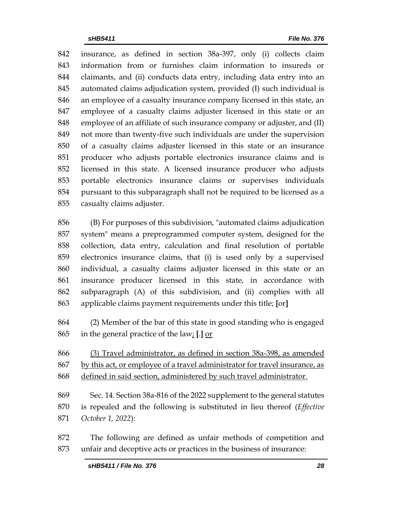insurance, as defined in section 38a-397, only (i) collects claim information from or furnishes claim information to insureds or claimants, and (ii) conducts data entry, including data entry into an automated claims adjudication system, provided (I) such individual is an employee of a casualty insurance company licensed in this state, an employee of a casualty claims adjuster licensed in this state or an employee of an affiliate of such insurance company or adjuster, and (II) not more than twenty-five such individuals are under the supervision of a casualty claims adjuster licensed in this state or an insurance producer who adjusts portable electronics insurance claims and is licensed in this state. A licensed insurance producer who adjusts portable electronics insurance claims or supervises individuals pursuant to this subparagraph shall not be required to be licensed as a casualty claims adjuster.

 (B) For purposes of this subdivision, "automated claims adjudication system" means a preprogrammed computer system, designed for the collection, data entry, calculation and final resolution of portable electronics insurance claims, that (i) is used only by a supervised individual, a casualty claims adjuster licensed in this state or an insurance producer licensed in this state, in accordance with subparagraph (A) of this subdivision, and (ii) complies with all applicable claims payment requirements under this title; **[**or**]**

 (2) Member of the bar of this state in good standing who is engaged in the general practice of the law; **[**.**]** or

- (3) Travel administrator, as defined in section 38a-398, as amended
- by this act, or employee of a travel administrator for travel insurance, as
- defined in said section, administered by such travel administrator.

 Sec. 14. Section 38a-816 of the 2022 supplement to the general statutes is repealed and the following is substituted in lieu thereof (*Effective October 1, 2022*):

 The following are defined as unfair methods of competition and unfair and deceptive acts or practices in the business of insurance: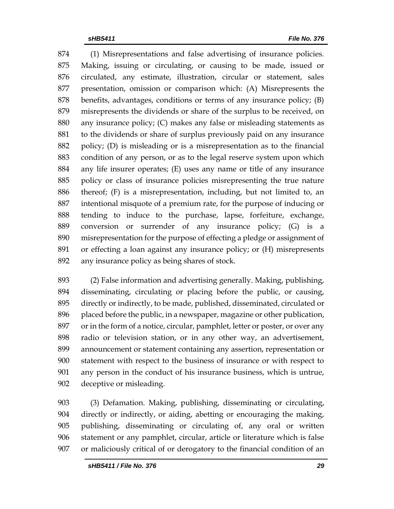(1) Misrepresentations and false advertising of insurance policies. Making, issuing or circulating, or causing to be made, issued or circulated, any estimate, illustration, circular or statement, sales presentation, omission or comparison which: (A) Misrepresents the benefits, advantages, conditions or terms of any insurance policy; (B) misrepresents the dividends or share of the surplus to be received, on any insurance policy; (C) makes any false or misleading statements as to the dividends or share of surplus previously paid on any insurance policy; (D) is misleading or is a misrepresentation as to the financial condition of any person, or as to the legal reserve system upon which any life insurer operates; (E) uses any name or title of any insurance policy or class of insurance policies misrepresenting the true nature thereof; (F) is a misrepresentation, including, but not limited to, an intentional misquote of a premium rate, for the purpose of inducing or tending to induce to the purchase, lapse, forfeiture, exchange, conversion or surrender of any insurance policy; (G) is a misrepresentation for the purpose of effecting a pledge or assignment of or effecting a loan against any insurance policy; or (H) misrepresents any insurance policy as being shares of stock.

 (2) False information and advertising generally. Making, publishing, disseminating, circulating or placing before the public, or causing, directly or indirectly, to be made, published, disseminated, circulated or placed before the public, in a newspaper, magazine or other publication, or in the form of a notice, circular, pamphlet, letter or poster, or over any radio or television station, or in any other way, an advertisement, announcement or statement containing any assertion, representation or statement with respect to the business of insurance or with respect to any person in the conduct of his insurance business, which is untrue, deceptive or misleading.

 (3) Defamation. Making, publishing, disseminating or circulating, directly or indirectly, or aiding, abetting or encouraging the making, publishing, disseminating or circulating of, any oral or written statement or any pamphlet, circular, article or literature which is false or maliciously critical of or derogatory to the financial condition of an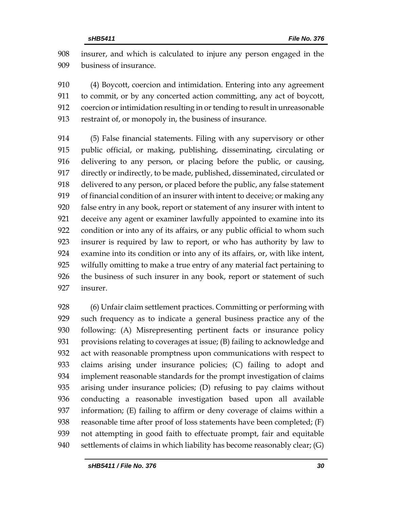insurer, and which is calculated to injure any person engaged in the business of insurance.

 (4) Boycott, coercion and intimidation. Entering into any agreement to commit, or by any concerted action committing, any act of boycott, coercion or intimidation resulting in or tending to result in unreasonable restraint of, or monopoly in, the business of insurance.

 (5) False financial statements. Filing with any supervisory or other public official, or making, publishing, disseminating, circulating or delivering to any person, or placing before the public, or causing, directly or indirectly, to be made, published, disseminated, circulated or delivered to any person, or placed before the public, any false statement of financial condition of an insurer with intent to deceive; or making any false entry in any book, report or statement of any insurer with intent to deceive any agent or examiner lawfully appointed to examine into its condition or into any of its affairs, or any public official to whom such insurer is required by law to report, or who has authority by law to examine into its condition or into any of its affairs, or, with like intent, wilfully omitting to make a true entry of any material fact pertaining to the business of such insurer in any book, report or statement of such insurer.

 (6) Unfair claim settlement practices. Committing or performing with such frequency as to indicate a general business practice any of the following: (A) Misrepresenting pertinent facts or insurance policy provisions relating to coverages at issue; (B) failing to acknowledge and act with reasonable promptness upon communications with respect to claims arising under insurance policies; (C) failing to adopt and implement reasonable standards for the prompt investigation of claims arising under insurance policies; (D) refusing to pay claims without conducting a reasonable investigation based upon all available information; (E) failing to affirm or deny coverage of claims within a reasonable time after proof of loss statements have been completed; (F) not attempting in good faith to effectuate prompt, fair and equitable settlements of claims in which liability has become reasonably clear; (G)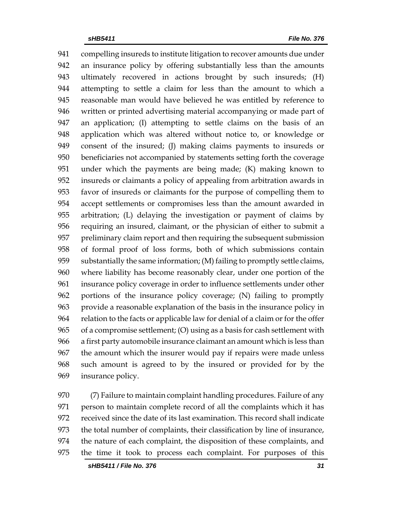compelling insureds to institute litigation to recover amounts due under an insurance policy by offering substantially less than the amounts ultimately recovered in actions brought by such insureds; (H) attempting to settle a claim for less than the amount to which a reasonable man would have believed he was entitled by reference to written or printed advertising material accompanying or made part of an application; (I) attempting to settle claims on the basis of an application which was altered without notice to, or knowledge or consent of the insured; (J) making claims payments to insureds or beneficiaries not accompanied by statements setting forth the coverage under which the payments are being made; (K) making known to insureds or claimants a policy of appealing from arbitration awards in favor of insureds or claimants for the purpose of compelling them to accept settlements or compromises less than the amount awarded in arbitration; (L) delaying the investigation or payment of claims by requiring an insured, claimant, or the physician of either to submit a preliminary claim report and then requiring the subsequent submission of formal proof of loss forms, both of which submissions contain substantially the same information; (M) failing to promptly settle claims, where liability has become reasonably clear, under one portion of the insurance policy coverage in order to influence settlements under other portions of the insurance policy coverage; (N) failing to promptly provide a reasonable explanation of the basis in the insurance policy in relation to the facts or applicable law for denial of a claim or for the offer of a compromise settlement; (O) using as a basis for cash settlement with a first party automobile insurance claimant an amount which is less than the amount which the insurer would pay if repairs were made unless such amount is agreed to by the insured or provided for by the insurance policy.

 (7) Failure to maintain complaint handling procedures. Failure of any person to maintain complete record of all the complaints which it has received since the date of its last examination. This record shall indicate the total number of complaints, their classification by line of insurance, the nature of each complaint, the disposition of these complaints, and the time it took to process each complaint. For purposes of this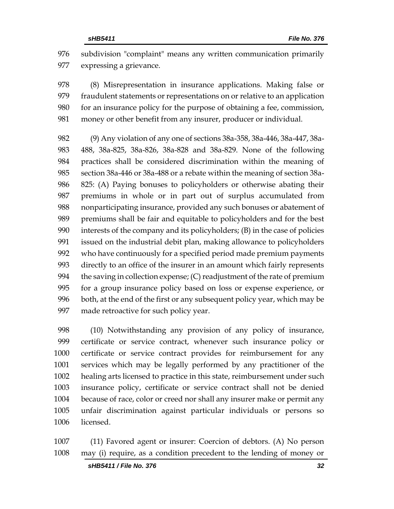subdivision "complaint" means any written communication primarily expressing a grievance.

 (8) Misrepresentation in insurance applications. Making false or fraudulent statements or representations on or relative to an application for an insurance policy for the purpose of obtaining a fee, commission, money or other benefit from any insurer, producer or individual.

 (9) Any violation of any one of sections 38a-358, 38a-446, 38a-447, 38a- 488, 38a-825, 38a-826, 38a-828 and 38a-829. None of the following practices shall be considered discrimination within the meaning of section 38a-446 or 38a-488 or a rebate within the meaning of section 38a- 825: (A) Paying bonuses to policyholders or otherwise abating their premiums in whole or in part out of surplus accumulated from nonparticipating insurance, provided any such bonuses or abatement of premiums shall be fair and equitable to policyholders and for the best interests of the company and its policyholders; (B) in the case of policies issued on the industrial debit plan, making allowance to policyholders who have continuously for a specified period made premium payments directly to an office of the insurer in an amount which fairly represents 994 the saving in collection expense;  $(C)$  readjustment of the rate of premium for a group insurance policy based on loss or expense experience, or both, at the end of the first or any subsequent policy year, which may be made retroactive for such policy year.

 (10) Notwithstanding any provision of any policy of insurance, certificate or service contract, whenever such insurance policy or certificate or service contract provides for reimbursement for any services which may be legally performed by any practitioner of the healing arts licensed to practice in this state, reimbursement under such insurance policy, certificate or service contract shall not be denied because of race, color or creed nor shall any insurer make or permit any unfair discrimination against particular individuals or persons so licensed.

 (11) Favored agent or insurer: Coercion of debtors. (A) No person may (i) require, as a condition precedent to the lending of money or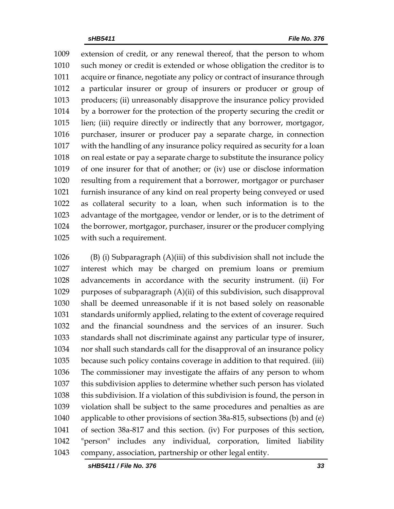extension of credit, or any renewal thereof, that the person to whom such money or credit is extended or whose obligation the creditor is to acquire or finance, negotiate any policy or contract of insurance through a particular insurer or group of insurers or producer or group of producers; (ii) unreasonably disapprove the insurance policy provided by a borrower for the protection of the property securing the credit or lien; (iii) require directly or indirectly that any borrower, mortgagor, purchaser, insurer or producer pay a separate charge, in connection with the handling of any insurance policy required as security for a loan on real estate or pay a separate charge to substitute the insurance policy of one insurer for that of another; or (iv) use or disclose information resulting from a requirement that a borrower, mortgagor or purchaser furnish insurance of any kind on real property being conveyed or used as collateral security to a loan, when such information is to the advantage of the mortgagee, vendor or lender, or is to the detriment of the borrower, mortgagor, purchaser, insurer or the producer complying with such a requirement.

 (B) (i) Subparagraph (A)(iii) of this subdivision shall not include the interest which may be charged on premium loans or premium advancements in accordance with the security instrument. (ii) For purposes of subparagraph (A)(ii) of this subdivision, such disapproval shall be deemed unreasonable if it is not based solely on reasonable standards uniformly applied, relating to the extent of coverage required and the financial soundness and the services of an insurer. Such standards shall not discriminate against any particular type of insurer, nor shall such standards call for the disapproval of an insurance policy because such policy contains coverage in addition to that required. (iii) The commissioner may investigate the affairs of any person to whom this subdivision applies to determine whether such person has violated this subdivision. If a violation of this subdivision is found, the person in violation shall be subject to the same procedures and penalties as are applicable to other provisions of section 38a-815, subsections (b) and (e) of section 38a-817 and this section. (iv) For purposes of this section, "person" includes any individual, corporation, limited liability company, association, partnership or other legal entity.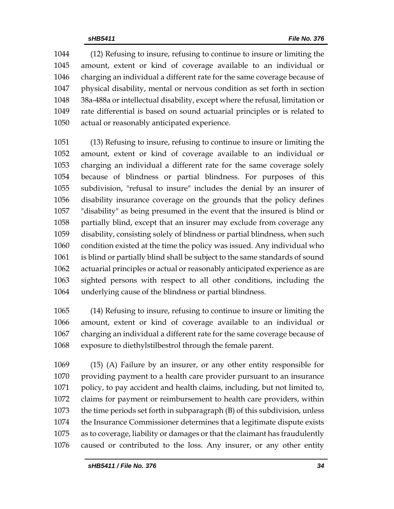(12) Refusing to insure, refusing to continue to insure or limiting the amount, extent or kind of coverage available to an individual or charging an individual a different rate for the same coverage because of physical disability, mental or nervous condition as set forth in section 38a-488a or intellectual disability, except where the refusal, limitation or rate differential is based on sound actuarial principles or is related to actual or reasonably anticipated experience.

 (13) Refusing to insure, refusing to continue to insure or limiting the amount, extent or kind of coverage available to an individual or charging an individual a different rate for the same coverage solely because of blindness or partial blindness. For purposes of this subdivision, "refusal to insure" includes the denial by an insurer of disability insurance coverage on the grounds that the policy defines "disability" as being presumed in the event that the insured is blind or partially blind, except that an insurer may exclude from coverage any disability, consisting solely of blindness or partial blindness, when such condition existed at the time the policy was issued. Any individual who is blind or partially blind shall be subject to the same standards of sound actuarial principles or actual or reasonably anticipated experience as are sighted persons with respect to all other conditions, including the underlying cause of the blindness or partial blindness.

 (14) Refusing to insure, refusing to continue to insure or limiting the amount, extent or kind of coverage available to an individual or charging an individual a different rate for the same coverage because of exposure to diethylstilbestrol through the female parent.

 (15) (A) Failure by an insurer, or any other entity responsible for providing payment to a health care provider pursuant to an insurance 1071 policy, to pay accident and health claims, including, but not limited to, claims for payment or reimbursement to health care providers, within the time periods set forth in subparagraph (B) of this subdivision, unless the Insurance Commissioner determines that a legitimate dispute exists as to coverage, liability or damages or that the claimant has fraudulently caused or contributed to the loss. Any insurer, or any other entity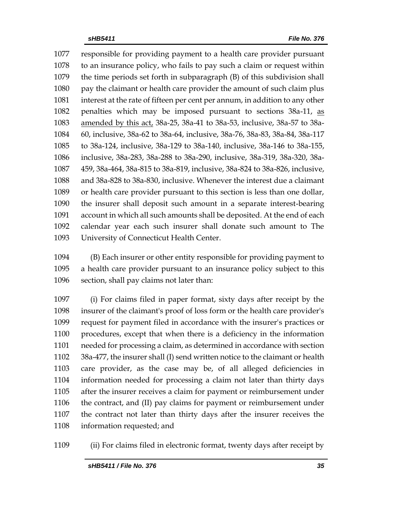responsible for providing payment to a health care provider pursuant to an insurance policy, who fails to pay such a claim or request within the time periods set forth in subparagraph (B) of this subdivision shall pay the claimant or health care provider the amount of such claim plus interest at the rate of fifteen per cent per annum, in addition to any other penalties which may be imposed pursuant to sections 38a-11, as amended by this act, 38a-25, 38a-41 to 38a-53, inclusive, 38a-57 to 38a- 60, inclusive, 38a-62 to 38a-64, inclusive, 38a-76, 38a-83, 38a-84, 38a-117 to 38a-124, inclusive, 38a-129 to 38a-140, inclusive, 38a-146 to 38a-155, inclusive, 38a-283, 38a-288 to 38a-290, inclusive, 38a-319, 38a-320, 38a- 459, 38a-464, 38a-815 to 38a-819, inclusive, 38a-824 to 38a-826, inclusive, and 38a-828 to 38a-830, inclusive. Whenever the interest due a claimant or health care provider pursuant to this section is less than one dollar, the insurer shall deposit such amount in a separate interest-bearing account in which all such amounts shall be deposited. At the end of each calendar year each such insurer shall donate such amount to The University of Connecticut Health Center.

 (B) Each insurer or other entity responsible for providing payment to a health care provider pursuant to an insurance policy subject to this section, shall pay claims not later than:

 (i) For claims filed in paper format, sixty days after receipt by the insurer of the claimant's proof of loss form or the health care provider's request for payment filed in accordance with the insurer's practices or procedures, except that when there is a deficiency in the information needed for processing a claim, as determined in accordance with section 38a-477, the insurer shall (I) send written notice to the claimant or health care provider, as the case may be, of all alleged deficiencies in information needed for processing a claim not later than thirty days after the insurer receives a claim for payment or reimbursement under the contract, and (II) pay claims for payment or reimbursement under the contract not later than thirty days after the insurer receives the information requested; and

(ii) For claims filed in electronic format, twenty days after receipt by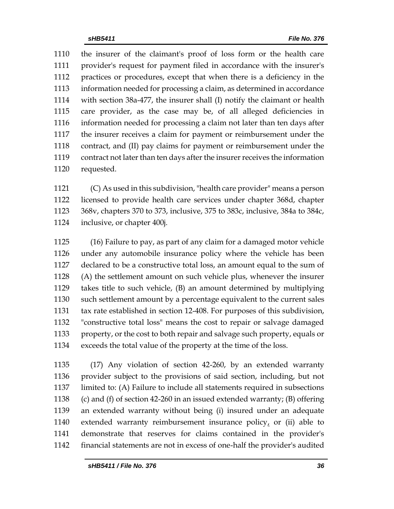the insurer of the claimant's proof of loss form or the health care provider's request for payment filed in accordance with the insurer's practices or procedures, except that when there is a deficiency in the information needed for processing a claim, as determined in accordance with section 38a-477, the insurer shall (I) notify the claimant or health care provider, as the case may be, of all alleged deficiencies in information needed for processing a claim not later than ten days after the insurer receives a claim for payment or reimbursement under the contract, and (II) pay claims for payment or reimbursement under the contract not later than ten days after the insurer receives the information requested.

 (C) As used in this subdivision, "health care provider" means a person licensed to provide health care services under chapter 368d, chapter 368v, chapters 370 to 373, inclusive, 375 to 383c, inclusive, 384a to 384c, inclusive, or chapter 400j.

 (16) Failure to pay, as part of any claim for a damaged motor vehicle under any automobile insurance policy where the vehicle has been declared to be a constructive total loss, an amount equal to the sum of (A) the settlement amount on such vehicle plus, whenever the insurer takes title to such vehicle, (B) an amount determined by multiplying such settlement amount by a percentage equivalent to the current sales tax rate established in section 12-408. For purposes of this subdivision, "constructive total loss" means the cost to repair or salvage damaged property, or the cost to both repair and salvage such property, equals or exceeds the total value of the property at the time of the loss.

 (17) Any violation of section 42-260, by an extended warranty provider subject to the provisions of said section, including, but not limited to: (A) Failure to include all statements required in subsections (c) and (f) of section 42-260 in an issued extended warranty; (B) offering an extended warranty without being (i) insured under an adequate 1140 extended warranty reimbursement insurance policy, or (ii) able to demonstrate that reserves for claims contained in the provider's financial statements are not in excess of one-half the provider's audited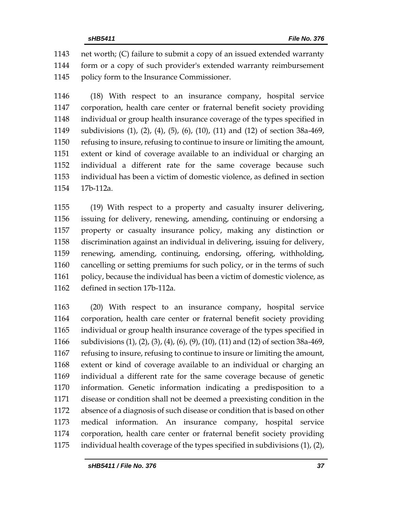net worth; (C) failure to submit a copy of an issued extended warranty form or a copy of such provider's extended warranty reimbursement policy form to the Insurance Commissioner.

 (18) With respect to an insurance company, hospital service corporation, health care center or fraternal benefit society providing individual or group health insurance coverage of the types specified in subdivisions (1), (2), (4), (5), (6), (10), (11) and (12) of section 38a-469, refusing to insure, refusing to continue to insure or limiting the amount, extent or kind of coverage available to an individual or charging an individual a different rate for the same coverage because such individual has been a victim of domestic violence, as defined in section 17b-112a.

 (19) With respect to a property and casualty insurer delivering, issuing for delivery, renewing, amending, continuing or endorsing a property or casualty insurance policy, making any distinction or discrimination against an individual in delivering, issuing for delivery, renewing, amending, continuing, endorsing, offering, withholding, cancelling or setting premiums for such policy, or in the terms of such 1161 policy, because the individual has been a victim of domestic violence, as defined in section 17b-112a.

 (20) With respect to an insurance company, hospital service corporation, health care center or fraternal benefit society providing individual or group health insurance coverage of the types specified in subdivisions (1), (2), (3), (4), (6), (9), (10), (11) and (12) of section 38a-469, refusing to insure, refusing to continue to insure or limiting the amount, extent or kind of coverage available to an individual or charging an individual a different rate for the same coverage because of genetic information. Genetic information indicating a predisposition to a disease or condition shall not be deemed a preexisting condition in the absence of a diagnosis of such disease or condition that is based on other medical information. An insurance company, hospital service corporation, health care center or fraternal benefit society providing individual health coverage of the types specified in subdivisions (1), (2),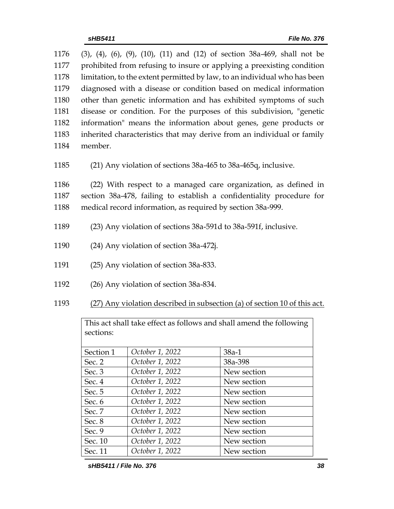| 1176 | $(3)$ , $(4)$ , $(6)$ , $(9)$ , $(10)$ , $(11)$ and $(12)$ of section 38a-469, shall not be |  |  |
|------|---------------------------------------------------------------------------------------------|--|--|
| 1177 | prohibited from refusing to insure or applying a preexisting condition                      |  |  |
| 1178 | limitation, to the extent permitted by law, to an individual who has been                   |  |  |
| 1179 | diagnosed with a disease or condition based on medical information                          |  |  |
| 1180 | other than genetic information and has exhibited symptoms of such                           |  |  |
| 1181 | disease or condition. For the purposes of this subdivision, "genetic                        |  |  |
| 1182 | information" means the information about genes, gene products or                            |  |  |
| 1183 | inherited characteristics that may derive from an individual or family                      |  |  |
| 1184 | member.                                                                                     |  |  |
|      |                                                                                             |  |  |
| 1185 | (21) Any violation of sections 38a-465 to 38a-465q, inclusive.                              |  |  |
|      |                                                                                             |  |  |
| 1186 | (22) With respect to a managed care organization, as defined in                             |  |  |
| 1187 | section 38a-478, failing to establish a confidentiality procedure for                       |  |  |
| 1188 | medical record information, as required by section 38a-999.                                 |  |  |
| 1189 | (23) Any violation of sections 38a-591d to 38a-591f, inclusive.                             |  |  |
|      |                                                                                             |  |  |
| 1190 | (24) Any violation of section 38a-472j.                                                     |  |  |
|      |                                                                                             |  |  |
| 1191 | (25) Any violation of section 38a-833.                                                      |  |  |
| 1192 | (26) Any violation of section 38a-834.                                                      |  |  |
|      |                                                                                             |  |  |
| 1193 | (27) Any violation described in subsection (a) of section 10 of this act.                   |  |  |
|      |                                                                                             |  |  |
|      | This act shall take effect as follows and shall amend the following                         |  |  |
|      | sections:                                                                                   |  |  |
|      | $\frac{1}{2}$<br>$\bigcap_{\text{otherwise}}$ 1 2022<br>$20 - 1$                            |  |  |

| Section 1 | October 1, 2022 | $38a-1$     |
|-----------|-----------------|-------------|
| Sec. $2$  | October 1, 2022 | 38a-398     |
| Sec. 3    | October 1, 2022 | New section |
| Sec. 4    | October 1, 2022 | New section |
| Sec. 5    | October 1, 2022 | New section |
| Sec. 6    | October 1, 2022 | New section |
| Sec. 7    | October 1, 2022 | New section |
| Sec. 8    | October 1, 2022 | New section |
| Sec. 9    | October 1, 2022 | New section |
| Sec. 10   | October 1, 2022 | New section |
| Sec. 11   | October 1, 2022 | New section |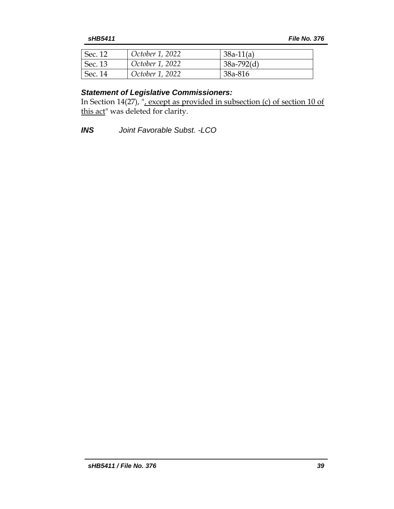| Sec. 12 | October 1, 2022 | $38a-11(a)$  |
|---------|-----------------|--------------|
| Sec. 13 | October 1, 2022 | $38a-792(d)$ |
| Sec. 14 | October 1, 2022 | 38a-816      |

## *Statement of Legislative Commissioners:*

In Section 14(27),  $\frac{v}{f}$ , except as provided in subsection (c) of section 10 of this act" was deleted for clarity.

*INS Joint Favorable Subst. -LCO*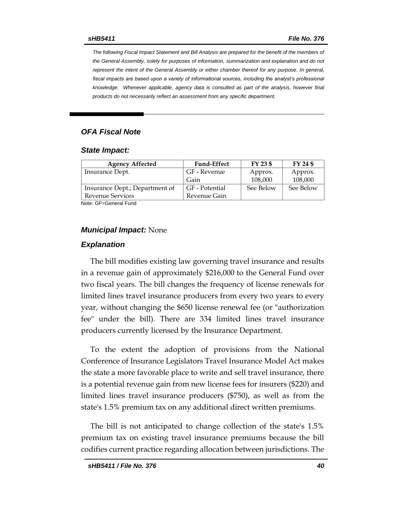*The following Fiscal Impact Statement and Bill Analysis are prepared for the benefit of the members of the General Assembly, solely for purposes of information, summarization and explanation and do not represent the intent of the General Assembly or either chamber thereof for any purpose. In general,*  fiscal impacts are based upon a variety of informational sources, including the analyst's professional *knowledge. Whenever applicable, agency data is consulted as part of the analysis, however final products do not necessarily reflect an assessment from any specific department.*

#### *OFA Fiscal Note*

#### *State Impact:*

| <b>Agency Affected</b>         | <b>Fund-Effect</b> | FY 23 \$  | FY 24 \$  |
|--------------------------------|--------------------|-----------|-----------|
| Insurance Dept.                | GF - Revenue       | Approx.   | Approx.   |
|                                | Gain               | 108,000   | 108,000   |
| Insurance Dept.; Department of | GF - Potential     | See Below | See Below |
| <b>Revenue Services</b>        | Revenue Gain       |           |           |

Note: GF=General Fund

#### *Municipal Impact:* None

#### *Explanation*

The bill modifies existing law governing travel insurance and results in a revenue gain of approximately \$216,000 to the General Fund over two fiscal years. The bill changes the frequency of license renewals for limited lines travel insurance producers from every two years to every year, without changing the \$650 license renewal fee (or "authorization fee" under the bill). There are 334 limited lines travel insurance producers currently licensed by the Insurance Department.

To the extent the adoption of provisions from the National Conference of Insurance Legislators Travel Insurance Model Act makes the state a more favorable place to write and sell travel insurance, there is a potential revenue gain from new license fees for insurers (\$220) and limited lines travel insurance producers (\$750), as well as from the state's 1.5% premium tax on any additional direct written premiums.

The bill is not anticipated to change collection of the state's 1.5% premium tax on existing travel insurance premiums because the bill codifies current practice regarding allocation between jurisdictions. The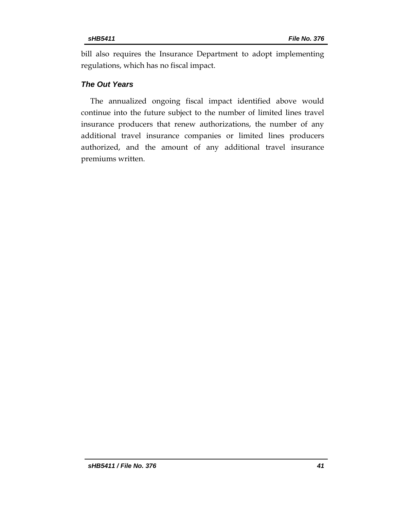bill also requires the Insurance Department to adopt implementing regulations, which has no fiscal impact.

#### *The Out Years*

The annualized ongoing fiscal impact identified above would continue into the future subject to the number of limited lines travel insurance producers that renew authorizations, the number of any additional travel insurance companies or limited lines producers authorized, and the amount of any additional travel insurance premiums written.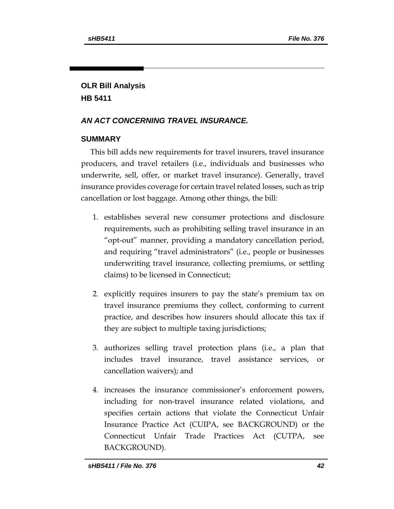## **OLR Bill Analysis HB 5411**

## *AN ACT CONCERNING TRAVEL INSURANCE.*

## **SUMMARY**

This bill adds new requirements for travel insurers, travel insurance producers, and travel retailers (i.e., individuals and businesses who underwrite, sell, offer, or market travel insurance). Generally, travel insurance provides coverage for certain travel related losses, such as trip cancellation or lost baggage. Among other things, the bill:

- 1. establishes several new consumer protections and disclosure requirements, such as prohibiting selling travel insurance in an "opt-out" manner, providing a mandatory cancellation period, and requiring "travel administrators" (i.e., people or businesses underwriting travel insurance, collecting premiums, or settling claims) to be licensed in Connecticut;
- 2. explicitly requires insurers to pay the state's premium tax on travel insurance premiums they collect, conforming to current practice, and describes how insurers should allocate this tax if they are subject to multiple taxing jurisdictions;
- 3. authorizes selling travel protection plans (i.e., a plan that includes travel insurance, travel assistance services, or cancellation waivers); and
- 4. increases the insurance commissioner's enforcement powers, including for non-travel insurance related violations, and specifies certain actions that violate the Connecticut Unfair Insurance Practice Act (CUIPA, see BACKGROUND) or the Connecticut Unfair Trade Practices Act (CUTPA, see BACKGROUND).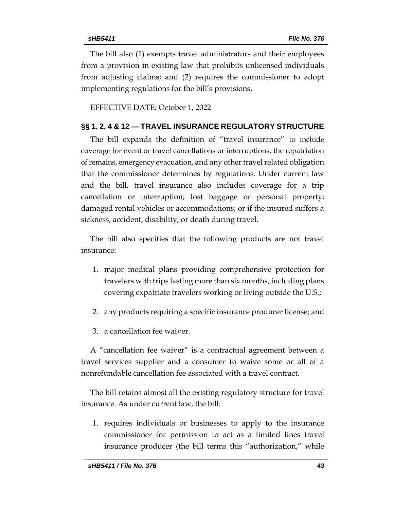The bill also (1) exempts travel administrators and their employees from a provision in existing law that prohibits unlicensed individuals from adjusting claims; and (2) requires the commissioner to adopt implementing regulations for the bill's provisions.

EFFECTIVE DATE: October 1, 2022

#### **§§ 1, 2, 4 & 12 — TRAVEL INSURANCE REGULATORY STRUCTURE**

The bill expands the definition of "travel insurance" to include coverage for event or travel cancellations or interruptions, the repatriation of remains, emergency evacuation, and any other travel related obligation that the commissioner determines by regulations. Under current law and the bill, travel insurance also includes coverage for a trip cancellation or interruption; lost baggage or personal property; damaged rental vehicles or accommodations; or if the insured suffers a sickness, accident, disability, or death during travel.

The bill also specifies that the following products are not travel insurance:

- 1. major medical plans providing comprehensive protection for travelers with trips lasting more than six months, including plans covering expatriate travelers working or living outside the U.S.;
- 2. any products requiring a specific insurance producer license; and
- 3. a cancellation fee waiver.

A "cancellation fee waiver" is a contractual agreement between a travel services supplier and a consumer to waive some or all of a nonrefundable cancellation fee associated with a travel contract.

The bill retains almost all the existing regulatory structure for travel insurance. As under current law, the bill:

1. requires individuals or businesses to apply to the insurance commissioner for permission to act as a limited lines travel insurance producer (the bill terms this "authorization," while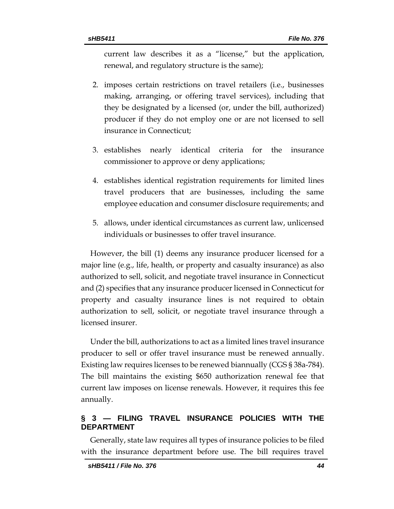current law describes it as a "license," but the application, renewal, and regulatory structure is the same);

- 2. imposes certain restrictions on travel retailers (i.e., businesses making, arranging, or offering travel services), including that they be designated by a licensed (or, under the bill, authorized) producer if they do not employ one or are not licensed to sell insurance in Connecticut;
- 3. establishes nearly identical criteria for the insurance commissioner to approve or deny applications;
- 4. establishes identical registration requirements for limited lines travel producers that are businesses, including the same employee education and consumer disclosure requirements; and
- 5. allows, under identical circumstances as current law, unlicensed individuals or businesses to offer travel insurance.

However, the bill (1) deems any insurance producer licensed for a major line (e.g., life, health, or property and casualty insurance) as also authorized to sell, solicit, and negotiate travel insurance in Connecticut and (2) specifies that any insurance producer licensed in Connecticut for property and casualty insurance lines is not required to obtain authorization to sell, solicit, or negotiate travel insurance through a licensed insurer.

Under the bill, authorizations to act as a limited lines travel insurance producer to sell or offer travel insurance must be renewed annually. Existing law requires licenses to be renewed biannually (CGS § 38a-784). The bill maintains the existing \$650 authorization renewal fee that current law imposes on license renewals. However, it requires this fee annually.

## **§ 3 — FILING TRAVEL INSURANCE POLICIES WITH THE DEPARTMENT**

Generally, state law requires all types of insurance policies to be filed with the insurance department before use. The bill requires travel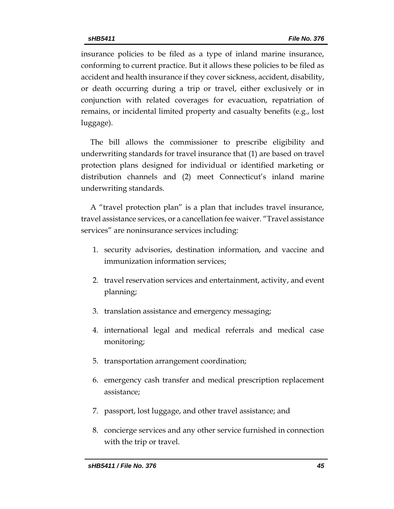insurance policies to be filed as a type of inland marine insurance, conforming to current practice. But it allows these policies to be filed as accident and health insurance if they cover sickness, accident, disability, or death occurring during a trip or travel, either exclusively or in conjunction with related coverages for evacuation, repatriation of remains, or incidental limited property and casualty benefits (e.g., lost luggage).

The bill allows the commissioner to prescribe eligibility and underwriting standards for travel insurance that (1) are based on travel protection plans designed for individual or identified marketing or distribution channels and (2) meet Connecticut's inland marine underwriting standards.

A "travel protection plan" is a plan that includes travel insurance, travel assistance services, or a cancellation fee waiver. "Travel assistance services" are noninsurance services including:

- 1. security advisories, destination information, and vaccine and immunization information services;
- 2. travel reservation services and entertainment, activity, and event planning;
- 3. translation assistance and emergency messaging;
- 4. international legal and medical referrals and medical case monitoring;
- 5. transportation arrangement coordination;
- 6. emergency cash transfer and medical prescription replacement assistance;
- 7. passport, lost luggage, and other travel assistance; and
- 8. concierge services and any other service furnished in connection with the trip or travel.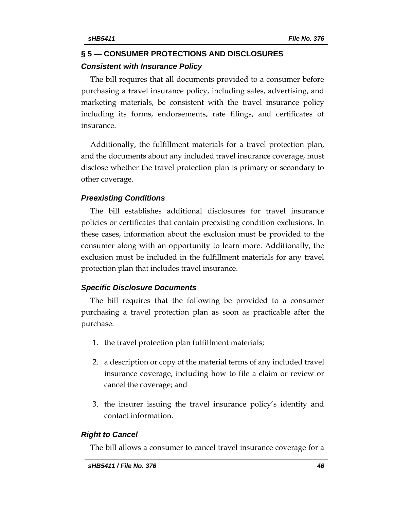# **§ 5 — CONSUMER PROTECTIONS AND DISCLOSURES** *Consistent with Insurance Policy*

The bill requires that all documents provided to a consumer before purchasing a travel insurance policy, including sales, advertising, and marketing materials, be consistent with the travel insurance policy including its forms, endorsements, rate filings, and certificates of insurance.

Additionally, the fulfillment materials for a travel protection plan, and the documents about any included travel insurance coverage, must disclose whether the travel protection plan is primary or secondary to other coverage.

## *Preexisting Conditions*

The bill establishes additional disclosures for travel insurance policies or certificates that contain preexisting condition exclusions. In these cases, information about the exclusion must be provided to the consumer along with an opportunity to learn more. Additionally, the exclusion must be included in the fulfillment materials for any travel protection plan that includes travel insurance.

## *Specific Disclosure Documents*

The bill requires that the following be provided to a consumer purchasing a travel protection plan as soon as practicable after the purchase:

- 1. the travel protection plan fulfillment materials;
- 2. a description or copy of the material terms of any included travel insurance coverage, including how to file a claim or review or cancel the coverage; and
- 3. the insurer issuing the travel insurance policy's identity and contact information.

## *Right to Cancel*

The bill allows a consumer to cancel travel insurance coverage for a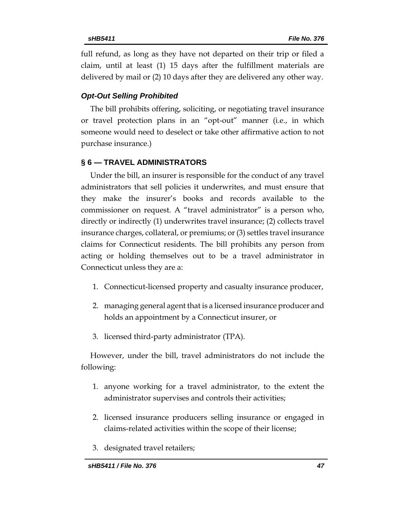full refund, as long as they have not departed on their trip or filed a claim, until at least (1) 15 days after the fulfillment materials are delivered by mail or (2) 10 days after they are delivered any other way.

#### *Opt-Out Selling Prohibited*

The bill prohibits offering, soliciting, or negotiating travel insurance or travel protection plans in an "opt-out" manner (i.e., in which someone would need to deselect or take other affirmative action to not purchase insurance.)

#### **§ 6 — TRAVEL ADMINISTRATORS**

Under the bill, an insurer is responsible for the conduct of any travel administrators that sell policies it underwrites, and must ensure that they make the insurer's books and records available to the commissioner on request. A "travel administrator" is a person who, directly or indirectly (1) underwrites travel insurance; (2) collects travel insurance charges, collateral, or premiums; or (3) settles travel insurance claims for Connecticut residents. The bill prohibits any person from acting or holding themselves out to be a travel administrator in Connecticut unless they are a:

- 1. Connecticut-licensed property and casualty insurance producer,
- 2. managing general agent that is a licensed insurance producer and holds an appointment by a Connecticut insurer, or
- 3. licensed third-party administrator (TPA).

However, under the bill, travel administrators do not include the following:

- 1. anyone working for a travel administrator, to the extent the administrator supervises and controls their activities;
- 2. licensed insurance producers selling insurance or engaged in claims-related activities within the scope of their license;
- 3. designated travel retailers;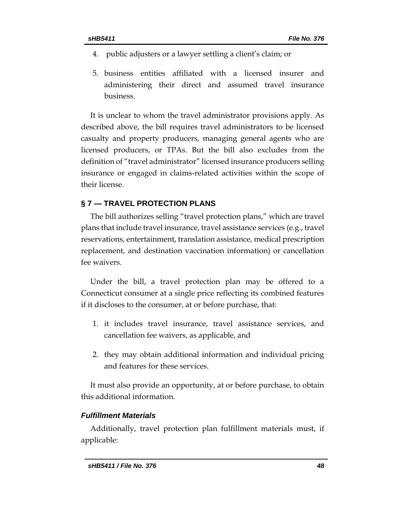- 4. public adjusters or a lawyer settling a client's claim; or
- 5. business entities affiliated with a licensed insurer and administering their direct and assumed travel insurance business.

It is unclear to whom the travel administrator provisions apply. As described above, the bill requires travel administrators to be licensed casualty and property producers, managing general agents who are licensed producers, or TPAs. But the bill also excludes from the definition of "travel administrator" licensed insurance producers selling insurance or engaged in claims-related activities within the scope of their license.

## **§ 7 — TRAVEL PROTECTION PLANS**

The bill authorizes selling "travel protection plans," which are travel plans that include travel insurance, travel assistance services (e.g., travel reservations, entertainment, translation assistance, medical prescription replacement, and destination vaccination information) or cancellation fee waivers.

Under the bill, a travel protection plan may be offered to a Connecticut consumer at a single price reflecting its combined features if it discloses to the consumer, at or before purchase, that:

- 1. it includes travel insurance, travel assistance services, and cancellation fee waivers, as applicable, and
- 2. they may obtain additional information and individual pricing and features for these services.

It must also provide an opportunity, at or before purchase, to obtain this additional information.

## *Fulfillment Materials*

Additionally, travel protection plan fulfillment materials must, if applicable: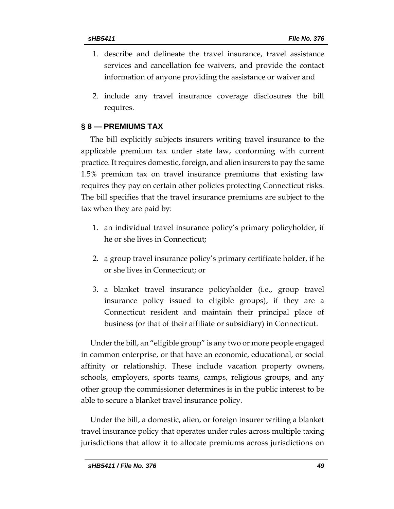- 1. describe and delineate the travel insurance, travel assistance services and cancellation fee waivers, and provide the contact information of anyone providing the assistance or waiver and
- 2. include any travel insurance coverage disclosures the bill requires.

## **§ 8 — PREMIUMS TAX**

The bill explicitly subjects insurers writing travel insurance to the applicable premium tax under state law, conforming with current practice. It requires domestic, foreign, and alien insurers to pay the same 1.5% premium tax on travel insurance premiums that existing law requires they pay on certain other policies protecting Connecticut risks. The bill specifies that the travel insurance premiums are subject to the tax when they are paid by:

- 1. an individual travel insurance policy's primary policyholder, if he or she lives in Connecticut;
- 2. a group travel insurance policy's primary certificate holder, if he or she lives in Connecticut; or
- 3. a blanket travel insurance policyholder (i.e., group travel insurance policy issued to eligible groups), if they are a Connecticut resident and maintain their principal place of business (or that of their affiliate or subsidiary) in Connecticut.

Under the bill, an "eligible group" is any two or more people engaged in common enterprise, or that have an economic, educational, or social affinity or relationship. These include vacation property owners, schools, employers, sports teams, camps, religious groups, and any other group the commissioner determines is in the public interest to be able to secure a blanket travel insurance policy.

Under the bill, a domestic, alien, or foreign insurer writing a blanket travel insurance policy that operates under rules across multiple taxing jurisdictions that allow it to allocate premiums across jurisdictions on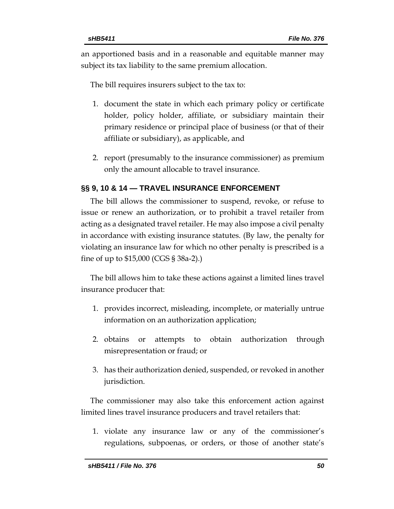an apportioned basis and in a reasonable and equitable manner may subject its tax liability to the same premium allocation.

The bill requires insurers subject to the tax to:

- 1. document the state in which each primary policy or certificate holder, policy holder, affiliate, or subsidiary maintain their primary residence or principal place of business (or that of their affiliate or subsidiary), as applicable, and
- 2. report (presumably to the insurance commissioner) as premium only the amount allocable to travel insurance.

## **§§ 9, 10 & 14 — TRAVEL INSURANCE ENFORCEMENT**

The bill allows the commissioner to suspend, revoke, or refuse to issue or renew an authorization, or to prohibit a travel retailer from acting as a designated travel retailer. He may also impose a civil penalty in accordance with existing insurance statutes. (By law, the penalty for violating an insurance law for which no other penalty is prescribed is a fine of up to \$15,000 (CGS § 38a-2).)

The bill allows him to take these actions against a limited lines travel insurance producer that:

- 1. provides incorrect, misleading, incomplete, or materially untrue information on an authorization application;
- 2. obtains or attempts to obtain authorization through misrepresentation or fraud; or
- 3. has their authorization denied, suspended, or revoked in another jurisdiction.

The commissioner may also take this enforcement action against limited lines travel insurance producers and travel retailers that:

1. violate any insurance law or any of the commissioner's regulations, subpoenas, or orders, or those of another state's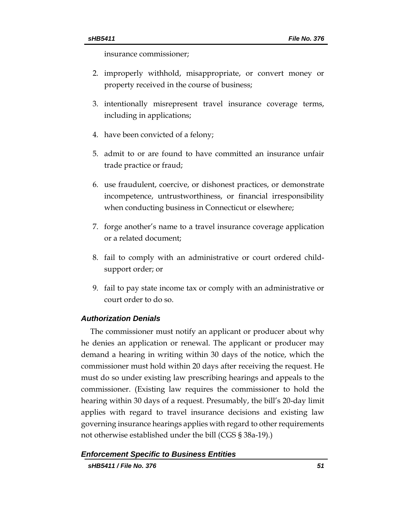insurance commissioner;

- 2. improperly withhold, misappropriate, or convert money or property received in the course of business;
- 3. intentionally misrepresent travel insurance coverage terms, including in applications;
- 4. have been convicted of a felony;
- 5. admit to or are found to have committed an insurance unfair trade practice or fraud;
- 6. use fraudulent, coercive, or dishonest practices, or demonstrate incompetence, untrustworthiness, or financial irresponsibility when conducting business in Connecticut or elsewhere;
- 7. forge another's name to a travel insurance coverage application or a related document;
- 8. fail to comply with an administrative or court ordered childsupport order; or
- 9. fail to pay state income tax or comply with an administrative or court order to do so.

#### *Authorization Denials*

The commissioner must notify an applicant or producer about why he denies an application or renewal. The applicant or producer may demand a hearing in writing within 30 days of the notice, which the commissioner must hold within 20 days after receiving the request. He must do so under existing law prescribing hearings and appeals to the commissioner. (Existing law requires the commissioner to hold the hearing within 30 days of a request. Presumably, the bill's 20-day limit applies with regard to travel insurance decisions and existing law governing insurance hearings applies with regard to other requirements not otherwise established under the bill (CGS § 38a-19).)

#### *Enforcement Specific to Business Entities*

*sHB5411 / File No. 376 51*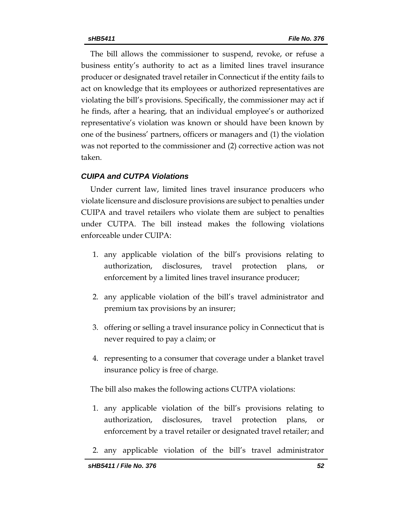The bill allows the commissioner to suspend, revoke, or refuse a business entity's authority to act as a limited lines travel insurance producer or designated travel retailer in Connecticut if the entity fails to act on knowledge that its employees or authorized representatives are violating the bill's provisions. Specifically, the commissioner may act if he finds, after a hearing, that an individual employee's or authorized representative's violation was known or should have been known by one of the business' partners, officers or managers and (1) the violation was not reported to the commissioner and (2) corrective action was not taken.

#### *CUIPA and CUTPA Violations*

Under current law, limited lines travel insurance producers who violate licensure and disclosure provisions are subject to penalties under CUIPA and travel retailers who violate them are subject to penalties under CUTPA. The bill instead makes the following violations enforceable under CUIPA:

- 1. any applicable violation of the bill's provisions relating to authorization, disclosures, travel protection plans, or enforcement by a limited lines travel insurance producer;
- 2. any applicable violation of the bill's travel administrator and premium tax provisions by an insurer;
- 3. offering or selling a travel insurance policy in Connecticut that is never required to pay a claim; or
- 4. representing to a consumer that coverage under a blanket travel insurance policy is free of charge.

The bill also makes the following actions CUTPA violations:

- 1. any applicable violation of the bill's provisions relating to authorization, disclosures, travel protection plans, or enforcement by a travel retailer or designated travel retailer; and
- 2. any applicable violation of the bill's travel administrator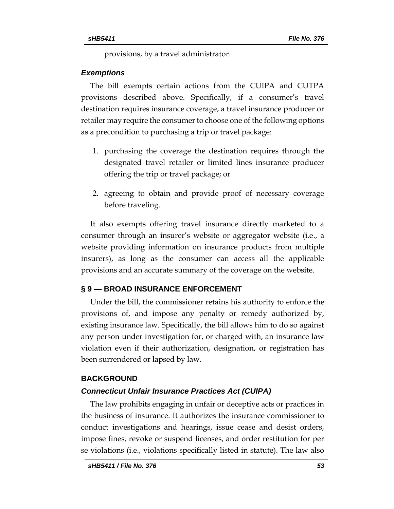provisions, by a travel administrator.

#### *Exemptions*

The bill exempts certain actions from the CUIPA and CUTPA provisions described above. Specifically, if a consumer's travel destination requires insurance coverage, a travel insurance producer or retailer may require the consumer to choose one of the following options as a precondition to purchasing a trip or travel package:

- 1. purchasing the coverage the destination requires through the designated travel retailer or limited lines insurance producer offering the trip or travel package; or
- 2. agreeing to obtain and provide proof of necessary coverage before traveling.

It also exempts offering travel insurance directly marketed to a consumer through an insurer's website or aggregator website (i.e., a website providing information on insurance products from multiple insurers), as long as the consumer can access all the applicable provisions and an accurate summary of the coverage on the website.

#### **§ 9 — BROAD INSURANCE ENFORCEMENT**

Under the bill, the commissioner retains his authority to enforce the provisions of, and impose any penalty or remedy authorized by, existing insurance law. Specifically, the bill allows him to do so against any person under investigation for, or charged with, an insurance law violation even if their authorization, designation, or registration has been surrendered or lapsed by law.

#### **BACKGROUND**

## *Connecticut Unfair Insurance Practices Act (CUIPA)*

The law prohibits engaging in unfair or deceptive acts or practices in the business of insurance. It authorizes the insurance commissioner to conduct investigations and hearings, issue cease and desist orders, impose fines, revoke or suspend licenses, and order restitution for per se violations (i.e., violations specifically listed in statute). The law also